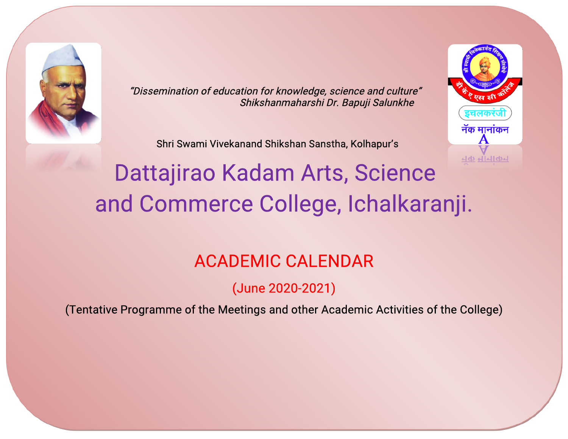

"Dissemination of education for knowledge, science and culture" Shikshanmaharshi Dr. Bapuji Salunkhe

Shri Swami Vivekanand Shikshan Sanstha, Kolhapur's



# Dattajirao Kadam Arts, Science and Commerce College, Ichalkaranji.

# **ACADEMIC CALENDAR**

(June2020-2021)

(Tentative Programme of the Meetings and other Academic Activities of the College)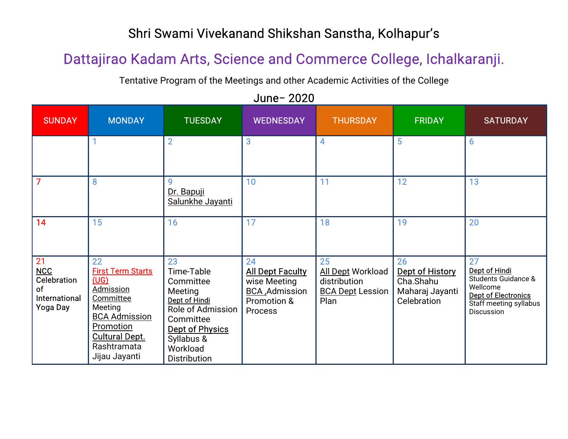#### Shri Swami Vivekanand Shikshan Sanstha, Kolhapur's

# Dattajirao Kadam Arts, Science and Commerce College, Ichalkaranji.

Tentative Program of the Meetings and other Academic Activities of the College

June-2020

| <b>SUNDAY</b>                                                      | <b>MONDAY</b>                                                                                                                                                                    | <b>TUESDAY</b>                                                                                                                                           | <b>WEDNESDAY</b>                                                                           | <b>THURSDAY</b>                                                                   | <b>FRIDAY</b>                                                               | <b>SATURDAY</b>                                                                                                                         |
|--------------------------------------------------------------------|----------------------------------------------------------------------------------------------------------------------------------------------------------------------------------|----------------------------------------------------------------------------------------------------------------------------------------------------------|--------------------------------------------------------------------------------------------|-----------------------------------------------------------------------------------|-----------------------------------------------------------------------------|-----------------------------------------------------------------------------------------------------------------------------------------|
|                                                                    |                                                                                                                                                                                  | $\overline{2}$                                                                                                                                           | 3                                                                                          | 4                                                                                 | 5                                                                           | $6\phantom{1}6$                                                                                                                         |
| $\overline{7}$                                                     | 8                                                                                                                                                                                | 9<br>Dr. Bapuji<br>Salunkhe Jayanti                                                                                                                      | 10                                                                                         | 11                                                                                | 12                                                                          | 13                                                                                                                                      |
| 14                                                                 | 15                                                                                                                                                                               | 16                                                                                                                                                       | 17                                                                                         | 18                                                                                | 19                                                                          | 20                                                                                                                                      |
| 21<br>NCC<br>Celebration<br>of<br>International<br><b>Yoga Day</b> | 22<br><b>First Term Starts</b><br>(UG)<br><b>Admission</b><br>Committee<br>Meeting<br><b>BCA Admission</b><br>Promotion<br><b>Cultural Dept.</b><br>Rashtramata<br>Jijau Jayanti | 23<br>Time-Table<br>Committee<br>Meeting<br>Dept of Hindi<br>Role of Admission<br>Committee<br>Dept of Physics<br>Syllabus &<br>Workload<br>Distribution | 24<br><b>All Dept Faculty</b><br>wise Meeting<br>BCA , Admission<br>Promotion &<br>Process | 25<br><b>All Dept Workload</b><br>distribution<br><b>BCA Dept Lession</b><br>Plan | 26<br><b>Dept of History</b><br>Cha.Shahu<br>Maharaj Jayanti<br>Celebration | 27<br>Dept of Hindi<br><b>Students Guidance &amp;</b><br>Wellcome<br><b>Dept of Electronics</b><br>Staff meeting syllabus<br>Discussion |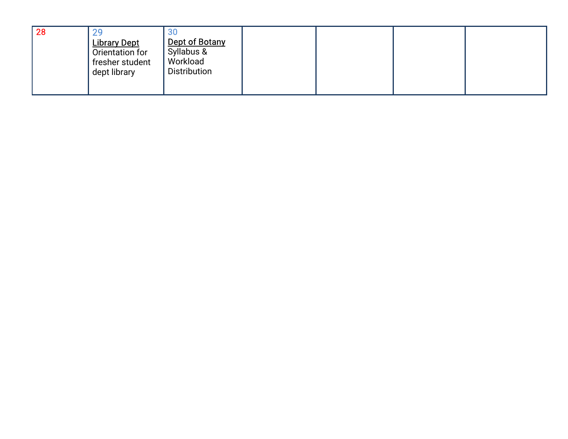| 28 |                                        | 30                              |  |  |
|----|----------------------------------------|---------------------------------|--|--|
|    | <b>Library Dept</b><br>Orientation for | Dept of Botany<br>Syllabus &    |  |  |
|    | fresher student<br>dept library        | Workload<br><b>Distribution</b> |  |  |
|    |                                        |                                 |  |  |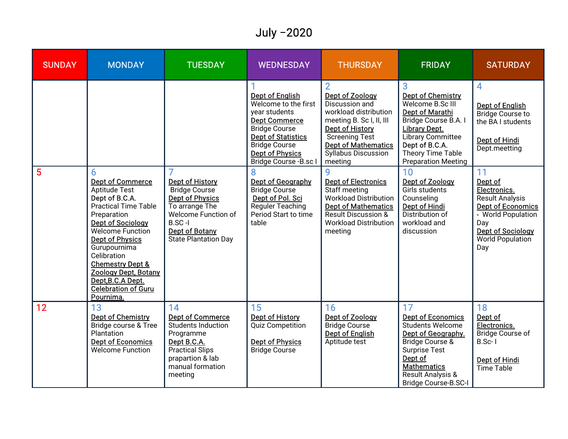# July -2020

| <b>SUNDAY</b>  | <b>MONDAY</b>                                                                                                                                                                                                                                                                                                                                        | <b>TUESDAY</b>                                                                                                                                                          | <b>WEDNESDAY</b>                                                                                                                                                                                                                                                                                                                        | <b>THURSDAY</b>                                                                                                                                                                                                                                                                                                                                                                          | <b>FRIDAY</b>                                                                                                                                                                                                                                                                                                                                           | <b>SATURDAY</b>                                                                                                                                                                                                                                                                                        |
|----------------|------------------------------------------------------------------------------------------------------------------------------------------------------------------------------------------------------------------------------------------------------------------------------------------------------------------------------------------------------|-------------------------------------------------------------------------------------------------------------------------------------------------------------------------|-----------------------------------------------------------------------------------------------------------------------------------------------------------------------------------------------------------------------------------------------------------------------------------------------------------------------------------------|------------------------------------------------------------------------------------------------------------------------------------------------------------------------------------------------------------------------------------------------------------------------------------------------------------------------------------------------------------------------------------------|---------------------------------------------------------------------------------------------------------------------------------------------------------------------------------------------------------------------------------------------------------------------------------------------------------------------------------------------------------|--------------------------------------------------------------------------------------------------------------------------------------------------------------------------------------------------------------------------------------------------------------------------------------------------------|
| $5\phantom{1}$ | 6<br><b>Dept of Commerce</b><br>Aptitude Test<br>Dept of B.C.A.<br><b>Practical Time Table</b><br>Preparation<br>Dept of Sociology<br><b>Welcome Function</b><br><b>Dept of Physics</b><br>Gurupournima<br>Celibration<br><b>Chemestry Dept &amp;</b><br><b>Zoology Dept, Botany</b><br>Dept, B.C.A Dept.<br><b>Celebration of Guru</b><br>Pournima. | Dept of History<br><b>Bridge Course</b><br><b>Dept of Physics</b><br>To arrange The<br>Welcome Function of<br>$B.SC-I$<br>Dept of Botany<br><b>State Plantation Day</b> | <b>Dept of English</b><br>Welcome to the first<br>year students<br>Dept Commerce<br><b>Bridge Course</b><br><b>Dept of Statistics</b><br><b>Bridge Course</b><br><b>Dept of Physics</b><br>Bridge Course - B.sc I<br>Dept of Geography<br><b>Bridge Course</b><br>Dept of Pol. Sci<br>Reguler Teaching<br>Period Start to time<br>table | Dept of Zoology<br>Discussion and<br>workload distribution<br>meeting B. Sc I, II, III<br>Dept of History<br><b>Screening Test</b><br><b>Dept of Mathematics</b><br><b>Syllabus Discussion</b><br>meeting<br><b>Dept of Electronics</b><br>Staff meeting<br><b>Workload Distribution</b><br><b>Dept of Mathematics</b><br>Result Discussion &<br><b>Workload Distribution</b><br>meeting | 3<br><b>Dept of Chemistry</b><br>Welcome B.Sc III<br><b>Dept of Marathi</b><br>Bridge Course B.A. I<br><b>Library Dept.</b><br><b>Library Committee</b><br>Dept of B.C.A.<br>Theory Time Table<br><b>Preparation Meeting</b><br>10<br>Dept of Zoology<br>Girls students<br>Counseling<br>Dept of Hindi<br>Distribution of<br>workload and<br>discussion | 4<br><b>Dept of English</b><br><b>Bridge Course to</b><br>the BA I students<br><b>Dept of Hindi</b><br>Dept.meetting<br>11<br>Dept of<br>Electronics.<br><b>Result Analysis</b><br><b>Dept of Economics</b><br>- World Population<br>Day<br><b>Dept of Sociology</b><br><b>World Population</b><br>Day |
| 12             | 13<br>Dept of Chemistry<br>Bridge course & Tree<br>Plantation<br><b>Dept of Economics</b><br><b>Welcome Function</b>                                                                                                                                                                                                                                 | 14<br><b>Dept of Commerce</b><br>Students Induction<br>Programme<br>Dept B.C.A.<br><b>Practical Slips</b><br>prapartion & lab<br>manual formation<br>meeting            | 15<br><b>Dept of History</b><br><b>Quiz Competition</b><br>Dept of Physics<br><b>Bridge Course</b>                                                                                                                                                                                                                                      | 16<br>Dept of Zoology<br><b>Bridge Course</b><br><b>Dept of English</b><br>Aptitude test                                                                                                                                                                                                                                                                                                 | 17<br><b>Dept of Economics</b><br>Students Welcome<br>Dept of Geography.<br><b>Bridge Course &amp;</b><br><b>Surprise Test</b><br>Dept of<br><b>Mathematics</b><br>Result Analysis &<br><b>Bridge Course-B.SC-I</b>                                                                                                                                     | 18<br>Dept of<br>Electronics.<br>Bridge Course of<br>$B.Sc-1$<br><b>Dept of Hindi</b><br><b>Time Table</b>                                                                                                                                                                                             |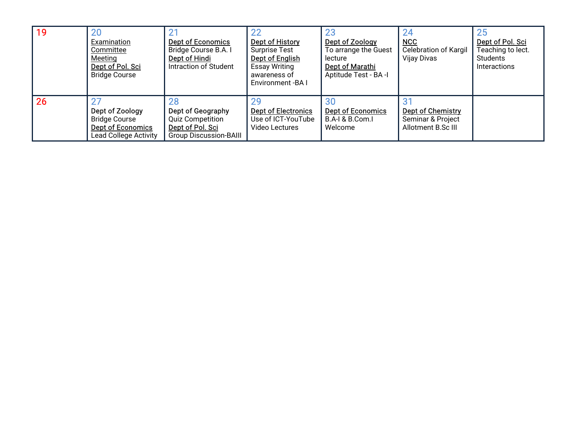| 19 | 20<br>Examination<br>Committee<br>Meeting<br>Dept of Pol. Sci<br><b>Bridge Course</b>               | <b>Dept of Economics</b><br>Bridge Course B.A. I<br>Dept of Hindi<br>Intraction of Student              | 22<br>Dept of History<br><b>Surprise Test</b><br>Dept of English<br><b>Essay Writing</b><br>awareness of<br>Environment - BA I | Dept of Zoology<br>To arrange the Guest<br>lecture<br>Dept of Marathi<br>Aptitude Test - BA -I | 24<br>NCC<br><b>Celebration of Kargil</b><br>Vijay Divas            | 25<br>Dept of Pol. Sci<br>Teaching to lect.<br>Students<br>Interactions |
|----|-----------------------------------------------------------------------------------------------------|---------------------------------------------------------------------------------------------------------|--------------------------------------------------------------------------------------------------------------------------------|------------------------------------------------------------------------------------------------|---------------------------------------------------------------------|-------------------------------------------------------------------------|
| 26 | Dept of Zoology<br><b>Bridge Course</b><br><b>Dept of Economics</b><br><b>Lead College Activity</b> | 28<br>Dept of Geography<br><b>Quiz Competition</b><br>Dept of Pol. Sci<br><b>Group Discussion-BAIII</b> | <b>Dept of Electronics</b><br>Use of ICT-YouTube<br>Video Lectures                                                             | <b>Dept of Economics</b><br>B.A-I & B.Com.I<br>Welcome                                         | <b>Dept of Chemistry</b><br>Seminar & Project<br>Allotment B.Sc III |                                                                         |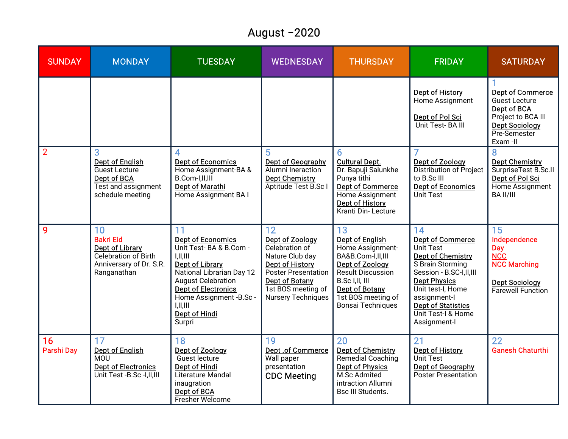#### August-2020

| <b>SUNDAY</b>           | <b>MONDAY</b>                                                                                                      | <b>TUESDAY</b>                                                                                                                                                                                                                                           | <b>WEDNESDAY</b>                                                                                                                                                                 | <b>THURSDAY</b>                                                                                                                                                                                      | <b>FRIDAY</b>                                                                                                                                                                                                                                        | <b>SATURDAY</b>                                                                                                                   |
|-------------------------|--------------------------------------------------------------------------------------------------------------------|----------------------------------------------------------------------------------------------------------------------------------------------------------------------------------------------------------------------------------------------------------|----------------------------------------------------------------------------------------------------------------------------------------------------------------------------------|------------------------------------------------------------------------------------------------------------------------------------------------------------------------------------------------------|------------------------------------------------------------------------------------------------------------------------------------------------------------------------------------------------------------------------------------------------------|-----------------------------------------------------------------------------------------------------------------------------------|
|                         |                                                                                                                    |                                                                                                                                                                                                                                                          |                                                                                                                                                                                  |                                                                                                                                                                                                      | <b>Dept of History</b><br>Home Assignment<br>Dept of Pol Sci<br>Unit Test-BA III                                                                                                                                                                     | <b>Dept of Commerce</b><br>Guest Lecture<br>Dept of BCA<br>Project to BCA III<br><b>Dept Sociology</b><br>Pre-Semester<br>Exam-II |
| $\overline{2}$          | 3<br><b>Dept of English</b><br><b>Guest Lecture</b><br>Dept of BCA<br>Test and assignment<br>schedule meeting      | 4<br><b>Dept of Economics</b><br>Home Assignment-BA &<br>B.Com-I,II,III<br><b>Dept of Marathi</b><br>Home Assignment BA I                                                                                                                                | 5<br>Dept of Geography<br>Alumni Ineraction<br><b>Dept Chemistry</b><br>Aptitude Test B.Sc                                                                                       | 6<br><b>Cultural Dept.</b><br>Dr. Bapuji Salunkhe<br>Punya tithi<br><b>Dept of Commerce</b><br>Home Assignment<br>Dept of History<br>Kranti Din-Lecture                                              | Dept of Zoology<br>Distribution of Project<br>to B.Sc III<br><b>Dept of Economics</b><br>Unit Test                                                                                                                                                   | 8<br><b>Dept Chemistry</b><br>SurpriseTest B.Sc.II<br>Dept of Pol Sci<br>Home Assignment<br><b>BA II/III</b>                      |
| 9                       | 10<br><b>Bakri Eid</b><br><b>Dept of Library</b><br>Celebration of Birth<br>Anniversary of Dr. S.R.<br>Ranganathan | 11<br><b>Dept of Economics</b><br>Unit Test-BA & B.Com -<br>I,II,III<br><b>Dept of Library</b><br>National Librarian Day 12<br><b>August Celebration</b><br><b>Dept of Electronics</b><br>Home Assignment -B.Sc -<br>I,II,III<br>Dept of Hindi<br>Surpri | 12<br>Dept of Zoology<br>Celebration of<br>Nature Club day<br>Dept of History<br>Poster Presentation<br><b>Dept of Botany</b><br>1st BOS meeting of<br><b>Nursery Techniques</b> | 13<br>Dept of English<br>Home Assignment-<br>BA&B.Com-I,II,III<br>Dept of Zoology<br><b>Result Discussion</b><br>B.Sc I, II, III<br><b>Dept of Botany</b><br>1st BOS meeting of<br>Bonsai Techniques | 14<br><b>Dept of Commerce</b><br>Unit Test<br><b>Dept of Chemistry</b><br>S Brain Storming<br>Session - B.SC-I,II,III<br><b>Dept Physics</b><br>Unit test-I, Home<br>assignment-l<br><b>Dept of Statistics</b><br>Unit Test-I & Home<br>Assignment-I | 15<br>Independence<br><b>Day</b><br><b>NCC</b><br><b>NCC Marching</b><br><b>Dept Sociology</b><br>Farewell Function               |
| 16<br><b>Parshi Day</b> | 17<br><b>Dept of English</b><br>MOU<br><b>Dept of Electronics</b><br>Unit Test -B.Sc -I,II,III                     | 18<br>Dept of Zoology<br>Guest lecture<br><b>Dept of Hindi</b><br>Literature Mandal<br>inaugration<br>Dept of BCA<br>Fresher Welcome                                                                                                                     | 19<br>Dept .of Commerce<br>Wall paper<br>presentation<br><b>CDC Meeting</b>                                                                                                      | 20<br><b>Dept of Chemistry</b><br>Remedial Coaching<br><b>Dept of Physics</b><br>M.Sc Admited<br>intraction Allumni<br><b>Bsc III Students.</b>                                                      | 21<br><b>Dept of History</b><br>Unit Test<br>Dept of Geography<br><b>Poster Presentation</b>                                                                                                                                                         | 22<br><b>Ganesh Chaturthi</b>                                                                                                     |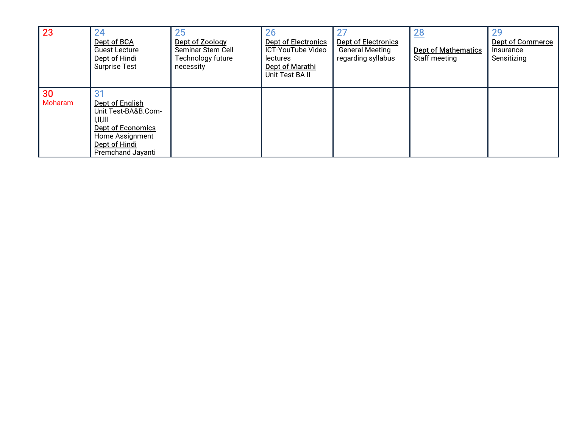| 23            | 24<br>Dept of BCA<br><b>Guest Lecture</b><br>Dept of Hindi<br><b>Surprise Test</b>                                                      | 25<br>Dept of Zoology<br>Seminar Stem Cell<br>Technology future<br>necessity | 26<br><b>Dept of Electronics</b><br>ICT-YouTube Video<br>lectures<br><b>Dept of Marathi</b><br>Unit Test BA II | <b>Dept of Electronics</b><br><b>General Meeting</b><br>regarding syllabus | 28<br><b>Dept of Mathematics</b><br>Staff meeting | 29<br><b>Dept of Commerce</b><br>Insurance<br>Sensitizing |
|---------------|-----------------------------------------------------------------------------------------------------------------------------------------|------------------------------------------------------------------------------|----------------------------------------------------------------------------------------------------------------|----------------------------------------------------------------------------|---------------------------------------------------|-----------------------------------------------------------|
| 30<br>Moharam | Dept of English<br>Unit Test-BA&B.Com-<br>I,II,III<br><b>Dept of Economics</b><br>Home Assignment<br>Dept of Hindi<br>Premchand Jayanti |                                                                              |                                                                                                                |                                                                            |                                                   |                                                           |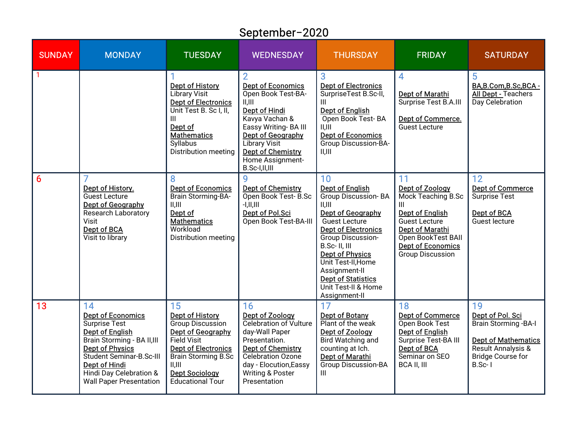# September-2020

| <b>SUNDAY</b>    | <b>MONDAY</b>                                                                                                                                                                                                                                | <b>TUESDAY</b>                                                                                                                                                                                                 | <b>WEDNESDAY</b>                                                                                                                                                                                                                  | <b>THURSDAY</b>                                                                                                                                                                                                                                                                                             | <b>FRIDAY</b>                                                                                                                                                                               | <b>SATURDAY</b>                                                                                                                             |
|------------------|----------------------------------------------------------------------------------------------------------------------------------------------------------------------------------------------------------------------------------------------|----------------------------------------------------------------------------------------------------------------------------------------------------------------------------------------------------------------|-----------------------------------------------------------------------------------------------------------------------------------------------------------------------------------------------------------------------------------|-------------------------------------------------------------------------------------------------------------------------------------------------------------------------------------------------------------------------------------------------------------------------------------------------------------|---------------------------------------------------------------------------------------------------------------------------------------------------------------------------------------------|---------------------------------------------------------------------------------------------------------------------------------------------|
|                  |                                                                                                                                                                                                                                              | Dept of History<br><b>Library Visit</b><br><b>Dept of Electronics</b><br>Unit Test B. Sc I, II,<br>III<br>Dept of<br><b>Mathematics</b><br><b>Syllabus</b><br>Distribution meeting                             | <b>Dept of Economics</b><br>Open Book Test-BA-<br>II.III<br>Dept of Hindi<br>Kavya Vachan &<br>Eassy Writing-BA III<br>Dept of Geography<br><b>Library Visit</b><br><b>Dept of Chemistry</b><br>Home Assignment-<br>B.Sc-I,II,III | 3<br><b>Dept of Electronics</b><br>SurpriseTest B.Sc-II,<br><b>Dept of English</b><br>Open Book Test-BA<br>II, III<br><b>Dept of Economics</b><br><b>Group Discussion-BA-</b><br>  .    .                                                                                                                   | 4<br><b>Dept of Marathi</b><br>Surprise Test B.A.III<br>Dept of Commerce.<br><b>Guest Lecture</b>                                                                                           | 5<br>BA, B.Com, B.Sc, BCA -<br><b>All Dept - Teachers</b><br>Day Celebration                                                                |
| $6 \overline{6}$ | Dept of History.<br><b>Guest Lecture</b><br>Dept of Geography<br>Research Laboratory<br>Visit<br>Dept of BCA<br>Visit to library                                                                                                             | <b>Dept of Economics</b><br><b>Brain Storming-BA-</b><br>II, III<br>Dept of<br><b>Mathematics</b><br>Workload<br>Distribution meeting                                                                          | <b>Dept of Chemistry</b><br>Open Book Test-B.Sc<br>$-1, 11, 111$<br>Dept of Pol.Sci<br>Open Book Test-BA-III                                                                                                                      | 10<br>Dept of English<br>Group Discussion-BA<br>II.III<br>Dept of Geography<br><b>Guest Lecture</b><br><b>Dept of Electronics</b><br>Group Discussion-<br>B.Sc-II.III<br><b>Dept of Physics</b><br>Unit Test-II, Home<br>Assignment-II<br><b>Dept of Statistics</b><br>Unit Test-II & Home<br>Assignment-II | 11<br>Dept of Zoology<br>Mock Teaching B.Sc<br>Ш<br>Dept of English<br><b>Guest Lecture</b><br>Dept of Marathi<br>Open BookTest BAII<br><b>Dept of Economics</b><br><b>Group Discussion</b> | 12<br><b>Dept of Commerce</b><br><b>Surprise Test</b><br><b>Dept of BCA</b><br>Guest lecture                                                |
| 13               | 14<br><b>Dept of Economics</b><br>Surprise Test<br><b>Dept of English</b><br>Brain Storming - BA II, III<br><b>Dept of Physics</b><br>Student Seminar-B.Sc-III<br>Dept of Hindi<br>Hindi Day Celebration &<br><b>Wall Paper Presentation</b> | 15<br>Dept of History<br>Group Discussion<br>Dept of Geography<br><b>Field Visit</b><br><b>Dept of Electronics</b><br><b>Brain Storming B.Sc</b><br>II.III<br><b>Dept Sociology</b><br><b>Educational Tour</b> | 16<br>Dept of Zoology<br>Celebration of Vulture<br>day-Wall Paper<br>Presentation.<br><b>Dept of Chemistry</b><br>Celebration Ozone<br>day - Elocution, Eassy<br>Writing & Poster<br>Presentation                                 | 17<br><b>Dept of Botany</b><br>Plant of the weak<br>Dept of Zoology<br><b>Bird Watching and</b><br>counting at Ich.<br>Dept of Marathi<br><b>Group Discussion-BA</b><br>Ш                                                                                                                                   | 18<br><b>Dept of Commerce</b><br>Open Book Test<br>Dept of English<br>Surprise Test-BA III<br>Dept of BCA<br>Seminar on SEO<br><b>BCA II, III</b>                                           | 19<br>Dept of Pol. Sci<br>Brain Storming - BA-I<br><b>Dept of Mathematics</b><br>Result Annalysis &<br><b>Bridge Course for</b><br>$B.Sc-1$ |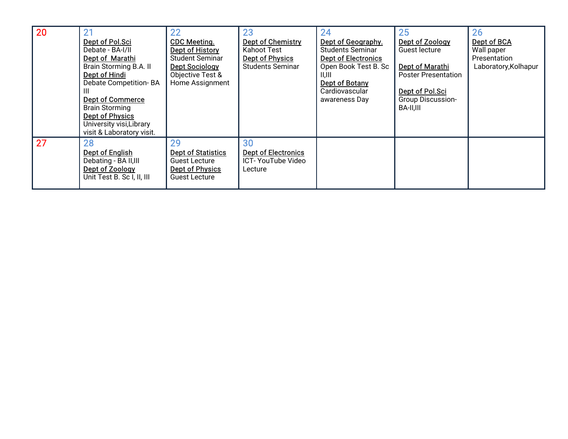| 20 | 21<br>Dept of Pol.Sci<br>Debate - BA-I/II<br>Dept of Marathi<br>Brain Storming B.A. II<br>Dept of Hindi<br>Debate Competition-BA<br>Dept of Commerce<br><b>Brain Storming</b><br>Dept of Physics<br>University visi, Library<br>visit & Laboratory visit. | 22<br><b>CDC Meeting.</b><br>Dept of History<br><b>Student Seminar</b><br><b>Dept Sociology</b><br>Objective Test &<br>Home Assignment | 23<br>Dept of Chemistry<br>Kahoot Test<br>Dept of Physics<br><b>Students Seminar</b> | 24<br>Dept of Geography.<br><b>Students Seminar</b><br><b>Dept of Electronics</b><br>Open Book Test B. Sc<br>II, III<br>Dept of Botany<br>Cardiovascular<br>awareness Day | 25<br>Dept of Zoology<br>Guest lecture<br>Dept of Marathi<br><b>Poster Presentation</b><br>Dept of Pol.Sci<br><b>Group Discussion-</b><br>BA-II,III | 26<br>Dept of BCA<br>Wall paper<br>Presentation<br>Laboratory, Kolhapur |  |
|----|-----------------------------------------------------------------------------------------------------------------------------------------------------------------------------------------------------------------------------------------------------------|----------------------------------------------------------------------------------------------------------------------------------------|--------------------------------------------------------------------------------------|---------------------------------------------------------------------------------------------------------------------------------------------------------------------------|-----------------------------------------------------------------------------------------------------------------------------------------------------|-------------------------------------------------------------------------|--|
| 27 | 28<br>Dept of English<br>Debating - BA II, III<br>Dept of Zoology<br>Unit Test B. Sc I, II, III                                                                                                                                                           | 29<br><b>Dept of Statistics</b><br><b>Guest Lecture</b><br><b>Dept of Physics</b><br><b>Guest Lecture</b>                              | 30<br><b>Dept of Electronics</b><br>ICT- YouTube Video<br>Lecture                    |                                                                                                                                                                           |                                                                                                                                                     |                                                                         |  |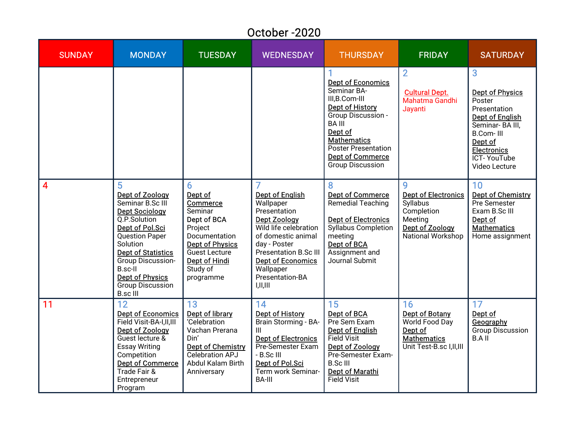|               | October-2020                                                                                                                                                                                                                                                                   |                                                                                                                                                                            |                                                                                                                                                                                                                                                        |                                                                                                                                                                                                                                          |                                                                                                              |                                                                                                                                                                                         |  |  |  |  |  |
|---------------|--------------------------------------------------------------------------------------------------------------------------------------------------------------------------------------------------------------------------------------------------------------------------------|----------------------------------------------------------------------------------------------------------------------------------------------------------------------------|--------------------------------------------------------------------------------------------------------------------------------------------------------------------------------------------------------------------------------------------------------|------------------------------------------------------------------------------------------------------------------------------------------------------------------------------------------------------------------------------------------|--------------------------------------------------------------------------------------------------------------|-----------------------------------------------------------------------------------------------------------------------------------------------------------------------------------------|--|--|--|--|--|
| <b>SUNDAY</b> | <b>MONDAY</b>                                                                                                                                                                                                                                                                  | <b>TUESDAY</b>                                                                                                                                                             | <b>WEDNESDAY</b>                                                                                                                                                                                                                                       | <b>THURSDAY</b>                                                                                                                                                                                                                          | <b>FRIDAY</b>                                                                                                | <b>SATURDAY</b>                                                                                                                                                                         |  |  |  |  |  |
|               |                                                                                                                                                                                                                                                                                |                                                                                                                                                                            |                                                                                                                                                                                                                                                        | <b>Dept of Economics</b><br>Seminar BA-<br>III, B. Com-III<br><b>Dept of History</b><br>Group Discussion -<br><b>BAIII</b><br>Dept of<br><b>Mathematics</b><br>Poster Presentation<br><b>Dept of Commerce</b><br><b>Group Discussion</b> | $\overline{2}$<br><b>Cultural Dept.</b><br>Mahatma Gandhi<br>Jayanti                                         | 3<br><b>Dept of Physics</b><br>Poster<br>Presentation<br><b>Dept of English</b><br>Seminar-BA III,<br><b>B.Com-III</b><br>Dept of<br><b>Electronics</b><br>ICT-YouTube<br>Video Lecture |  |  |  |  |  |
| 4             | 5<br>Dept of Zoology<br>Seminar B.Sc III<br><b>Dept Sociology</b><br>Q.P.Solution<br>Dept of Pol.Sci<br><b>Question Paper</b><br>Solution<br><b>Dept of Statistics</b><br>Group Discussion-<br>B.sc-II<br><b>Dept of Physics</b><br><b>Group Discussion</b><br><b>B.sc III</b> | 6<br>Dept of<br><b>Commerce</b><br>Seminar<br>Dept of BCA<br>Project<br>Documentation<br><b>Dept of Physics</b><br>Guest Lecture<br>Dept of Hindi<br>Study of<br>programme | 7<br><b>Dept of English</b><br>Wallpaper<br>Presentation<br><b>Dept Zoology</b><br>Wild life celebration<br>of domestic animal<br>day - Poster<br><b>Presentation B.Sc III</b><br><b>Dept of Economics</b><br>Wallpaper<br>Presentation-BA<br>I,II,III | 8<br><b>Dept of Commerce</b><br>Remedial Teaching<br><b>Dept of Electronics</b><br>Syllabus Completion<br>meeting<br>Dept of BCA<br>Assignment and<br>Journal Submit                                                                     | 9<br><b>Dept of Electronics</b><br>Syllabus<br>Completion<br>Meeting<br>Dept of Zoology<br>National Workshop | 10<br><b>Dept of Chemistry</b><br>Pre Semester<br>Exam B.Sc III<br>Dept of<br><b>Mathematics</b><br>Home assignment                                                                     |  |  |  |  |  |
| 11            | 12<br><b>Dept of Economics</b><br>Field Visit-BA-I,II,III<br>Dept of Zoology<br>Guest lecture &<br><b>Essay Writing</b><br>Competition<br><b>Dept of Commerce</b><br>Trade Fair &<br>Entrepreneur<br>Program                                                                   | 13<br>Dept of library<br>'Celebration<br>Vachan Prerana<br>Din'<br>Dept of Chemistry<br>Celebration APJ<br>Abdul Kalam Birth<br>Anniversary                                | 14<br><b>Dept of History</b><br>Brain Storming - BA-<br>$\mathbf{III}$<br><b>Dept of Electronics</b><br>Pre-Semester Exam<br>- B.Sc III<br>Dept of Pol.Sci<br>Term work Seminar-<br><b>BA-III</b>                                                      | 15<br><b>Dept of BCA</b><br>Pre Sem Exam<br><b>Dept of English</b><br><b>Field Visit</b><br>Dept of Zoology<br>Pre-Semester Exam-<br><b>B.ScIII</b><br>Dept of Marathi<br><b>Field Visit</b>                                             | 16<br>Dept of Botany<br>World Food Day<br>Dept of<br><b>Mathematics</b><br>Unit Test-B.sc I,II,III           | 17<br>Dept of<br>Geography<br><b>Group Discussion</b><br><b>B.AII</b>                                                                                                                   |  |  |  |  |  |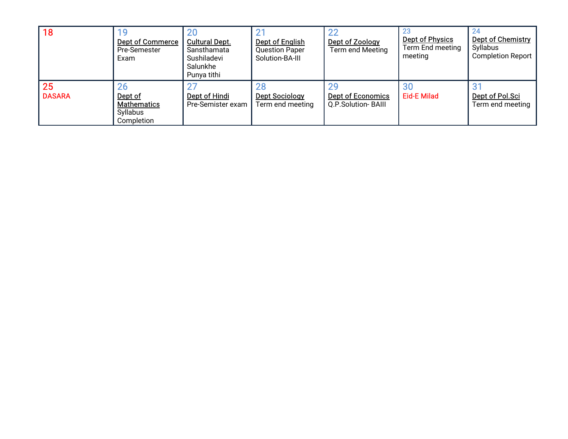| 18                  | Dept of Commerce<br>Pre-Semester<br>Exam                             | 20<br><b>Cultural Dept.</b><br>Sansthamata<br>Sushiladevi<br>Salunkhe<br>Punya tithi | <b>Dept of English</b><br><b>Question Paper</b><br>Solution-BA-III | റ<br>Dept of Zoology<br>Term end Meeting                   | <b>Dept of Physics</b><br>Term End meeting<br>meeting | Dept of Chemistry<br>Syllabus<br><b>Completion Report</b> |
|---------------------|----------------------------------------------------------------------|--------------------------------------------------------------------------------------|--------------------------------------------------------------------|------------------------------------------------------------|-------------------------------------------------------|-----------------------------------------------------------|
| 25<br><b>DASARA</b> | <b>26</b><br>Dept of<br><b>Mathematics</b><br>Syllabus<br>Completion | Dept of Hindi<br>Pre-Semister exam                                                   | <b>28</b><br><b>Dept Sociology</b><br>Term end meeting             | 2 <sub>5</sub><br>Dept of Economics<br>Q.P.Solution- BAIII | 30<br><b>Eid-E Milad</b>                              | J.<br>Dept of Pol.Sci<br>Term end meeting                 |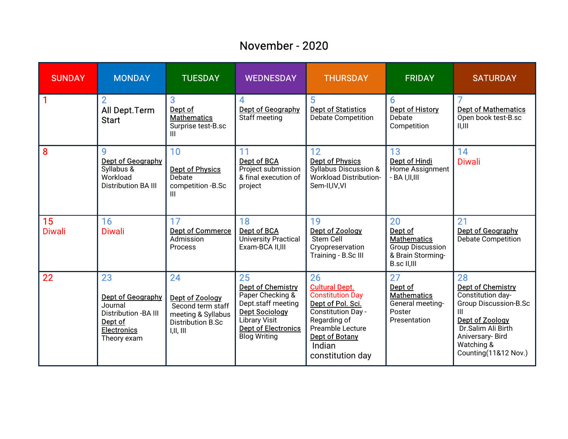#### November-2020

| <b>SUNDAY</b>           | <b>MONDAY</b>                                                                                               | <b>TUESDAY</b>                                                                                     | <b>WEDNESDAY</b>                                                                                                                                                               | <b>THURSDAY</b>                                                                                                                                                                       | <b>FRIDAY</b>                                                                                      | <b>SATURDAY</b>                                                                                                                                                                      |
|-------------------------|-------------------------------------------------------------------------------------------------------------|----------------------------------------------------------------------------------------------------|--------------------------------------------------------------------------------------------------------------------------------------------------------------------------------|---------------------------------------------------------------------------------------------------------------------------------------------------------------------------------------|----------------------------------------------------------------------------------------------------|--------------------------------------------------------------------------------------------------------------------------------------------------------------------------------------|
| $\overline{\mathbf{1}}$ | $\overline{2}$<br>All Dept. Term<br><b>Start</b>                                                            | 3<br>Dept of<br><b>Mathematics</b><br>Surprise test-B.sc<br>Ш                                      | Dept of Geography<br>Staff meeting                                                                                                                                             | 5<br><b>Dept of Statistics</b><br><b>Debate Competition</b>                                                                                                                           | 6<br><b>Dept of History</b><br>Debate<br>Competition                                               | <b>Dept of Mathematics</b><br>Open book test-B.sc<br>II, III                                                                                                                         |
| $\overline{\mathbf{8}}$ | 9<br>Dept of Geography<br>Syllabus &<br>Workload<br><b>Distribution BA III</b>                              | 10<br><b>Dept of Physics</b><br>Debate<br>competition -B.Sc<br>Ш                                   | 11<br>Dept of BCA<br>Project submission<br>& final execution of<br>project                                                                                                     | 12<br><b>Dept of Physics</b><br>Syllabus Discussion &<br><b>Workload Distribution-</b><br>Sem-II, IV, VI                                                                              | 13<br>Dept of Hindi<br>Home Assignment<br>- BA I,II,III                                            | 14<br><b>Diwali</b>                                                                                                                                                                  |
| 15<br><b>Diwali</b>     | 16<br><b>Diwali</b>                                                                                         | 17<br><b>Dept of Commerce</b><br>Admission<br>Process                                              | 18<br>Dept of BCA<br><b>University Practical</b><br>Exam-BCA II, III                                                                                                           | 19<br>Dept of Zoology<br><b>Stem Cell</b><br>Cryopreservation<br>Training - B.Sc III                                                                                                  | 20<br>Dept of<br><b>Mathematics</b><br><b>Group Discussion</b><br>& Brain Storming-<br>B.sc II,III | 21<br>Dept of Geography<br>Debate Competition                                                                                                                                        |
| 22                      | 23<br>Dept of Geography<br>Journal<br>Distribution - BA III<br>Dept of<br><b>Electronics</b><br>Theory exam | 24<br>Dept of Zoology<br>Second term staff<br>meeting & Syllabus<br>Distribution B.Sc<br>I,II, III | 25<br><b>Dept of Chemistry</b><br>Paper Checking &<br>Dept.staff meeting<br><b>Dept Sociology</b><br><b>Library Visit</b><br><b>Dept of Electronics</b><br><b>Blog Writing</b> | 26<br><b>Cultural Dept.</b><br><b>Constitution Day</b><br>Dept of Pol. Sci.<br>Constitution Day -<br>Regarding of<br>Preamble Lecture<br>Dept of Botany<br>Indian<br>constitution day | 27<br>Dept of<br><b>Mathematics</b><br>General meeting-<br>Poster<br>Presentation                  | 28<br>Dept of Chemistry<br>Constitution day-<br><b>Group Discussion-B.Sc</b><br>Ш<br>Dept of Zoology<br>Dr.Salim Ali Birth<br>Aniversary- Bird<br>Watching &<br>Counting(11&12 Nov.) |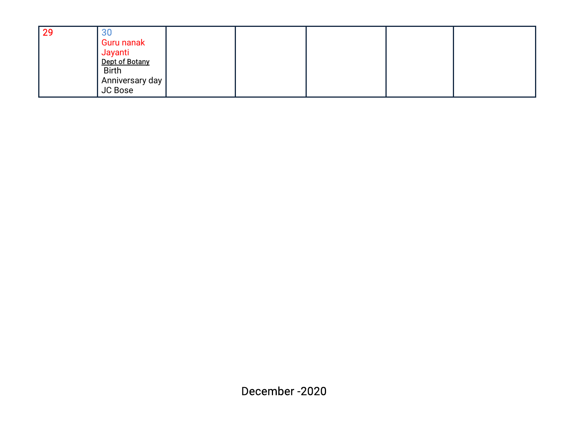| 29 | 30                        |  |  |  |
|----|---------------------------|--|--|--|
|    | <b>Guru nanak</b>         |  |  |  |
|    | Jayanti<br>Dept of Botany |  |  |  |
|    |                           |  |  |  |
|    | <b>Birth</b>              |  |  |  |
|    | Anniversary day           |  |  |  |
|    | <b>JC Bose</b>            |  |  |  |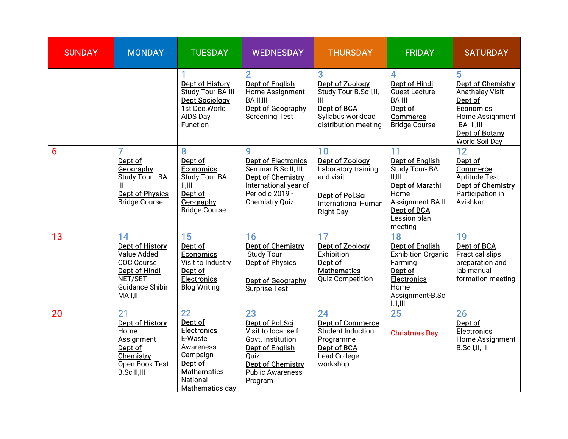| <b>SUNDAY</b> | <b>MONDAY</b>                                                                                                                     | <b>TUESDAY</b>                                                                                                                          | <b>WEDNESDAY</b>                                                                                                                                                      | <b>THURSDAY</b>                                                                                                         | <b>FRIDAY</b>                                                                                                                                            | <b>SATURDAY</b>                                                                                                                                                         |
|---------------|-----------------------------------------------------------------------------------------------------------------------------------|-----------------------------------------------------------------------------------------------------------------------------------------|-----------------------------------------------------------------------------------------------------------------------------------------------------------------------|-------------------------------------------------------------------------------------------------------------------------|----------------------------------------------------------------------------------------------------------------------------------------------------------|-------------------------------------------------------------------------------------------------------------------------------------------------------------------------|
|               |                                                                                                                                   | <b>Dept of History</b><br>Study Tour-BA III<br><b>Dept Sociology</b><br>1st Dec.World<br>AIDS Day<br>Function                           | <b>Dept of English</b><br>Home Assignment -<br><b>BA II,III</b><br>Dept of Geography<br><b>Screening Test</b>                                                         | 3<br>Dept of Zoology<br>Study Tour B.Sc I, II,<br>Ш<br>Dept of BCA<br>Syllabus workload<br>distribution meeting         | 4<br>Dept of Hindi<br>Guest Lecture -<br><b>BA III</b><br>Dept of<br>Commerce<br><b>Bridge Course</b>                                                    | 5<br><b>Dept of Chemistry</b><br><b>Anathalay Visit</b><br>Dept of<br><b>Economics</b><br>Home Assignment<br>$-BA - II, III$<br><b>Dept of Botany</b><br>World Soil Day |
| 6             | Dept of<br>Geography<br>Study Tour - BA<br><b>Dept of Physics</b><br><b>Bridge Course</b>                                         | 8<br>Dept of<br><b>Economics</b><br>Study Tour-BA<br>II, III<br>Dept of<br>Geography<br><b>Bridge Course</b>                            | <b>Dept of Electronics</b><br>Seminar B.Sc II, III<br><b>Dept of Chemistry</b><br>International year of<br>Periodic 2019 -<br>Chemistry Quiz                          | 10<br>Dept of Zoology<br>Laboratory training<br>and visit<br>Dept of Pol.Sci<br>International Human<br><b>Right Day</b> | 11<br><b>Dept of English</b><br>Study Tour-BA<br>II, III<br><b>Dept of Marathi</b><br>Home<br>Assignment-BA II<br>Dept of BCA<br>Lession plan<br>meeting | 12<br>Dept of<br>Commerce<br>Aptitude Test<br>Dept of Chemistry<br>Participation in<br>Avishkar                                                                         |
| 13            | 14<br><b>Dept of History</b><br>Value Added<br><b>COC Course</b><br>Dept of Hindi<br>NET/SET<br><b>Guidance Shibir</b><br>MA I,II | 15<br>Dept of<br><b>Economics</b><br>Visit to Industry<br>Dept of<br><b>Electronics</b><br><b>Blog Writing</b>                          | 16<br>Dept of Chemistry<br><b>Study Tour</b><br><b>Dept of Physics</b><br>Dept of Geography<br>Surprise Test                                                          | 17<br>Dept of Zoology<br>Exhibition<br>Dept of<br><b>Mathematics</b><br><b>Quiz Competition</b>                         | 18<br><b>Dept of English</b><br>Exhibition Organic<br>Farming<br>Dept of<br><b>Electronics</b><br>Home<br>Assignment-B.Sc<br>I,II,III                    | 19<br>Dept of BCA<br>Practical slips<br>preparation and<br>lab manual<br>formation meeting                                                                              |
| 20            | 21<br><b>Dept of History</b><br>Home<br>Assignment<br>Dept of<br>Chemistry<br>Open Book Test<br><b>B.Sc II,III</b>                | 22<br>Dept of<br><b>Electronics</b><br>E-Waste<br>Awareness<br>Campaign<br>Dept of<br><b>Mathematics</b><br>National<br>Mathematics day | 23<br>Dept of Pol.Sci<br>Visit to local self<br>Govt. Institution<br><b>Dept of English</b><br>Quiz<br><b>Dept of Chemistry</b><br><b>Public Awareness</b><br>Program | 24<br>Dept of Commerce<br>Student Induction<br>Programme<br>Dept of BCA<br>Lead College<br>workshop                     | 25<br><b>Christmas Day</b>                                                                                                                               | 26<br>Dept of<br><b>Electronics</b><br>Home Assignment<br>B.Sc I, II, III                                                                                               |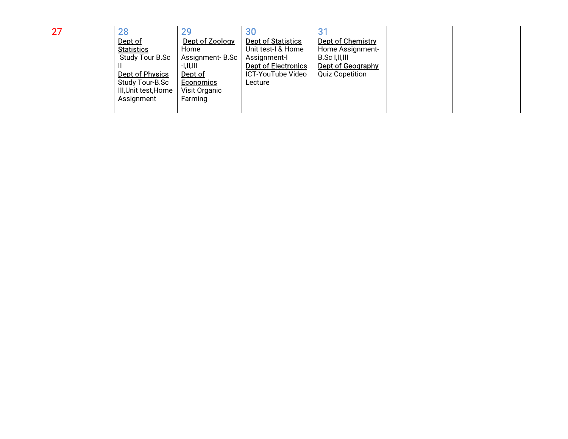| 27<br>28<br>Dept of<br><b>Statistics</b><br>Study Tour B.Sc<br>Dept of Physics<br>Study Tour-B.Sc<br>III, Unit test, Home<br>Assignment | 29<br>Dept of Zoology<br>Home<br>Assignment-B.Sc<br>$-I, II, III$<br>Dept of<br><b>Economics</b><br>Visit Organic<br>Farming | 30<br><b>Dept of Statistics</b><br>Unit test-I & Home<br>Assignment-I<br><b>Dept of Electronics</b><br>ICT-YouTube Video<br>Lecture | 3 <sup>1</sup><br>Dept of Chemistry<br>Home Assignment-<br>B.Sc I, II, III<br>Dept of Geography<br><b>Quiz Copetition</b> |  |  |
|-----------------------------------------------------------------------------------------------------------------------------------------|------------------------------------------------------------------------------------------------------------------------------|-------------------------------------------------------------------------------------------------------------------------------------|---------------------------------------------------------------------------------------------------------------------------|--|--|
|-----------------------------------------------------------------------------------------------------------------------------------------|------------------------------------------------------------------------------------------------------------------------------|-------------------------------------------------------------------------------------------------------------------------------------|---------------------------------------------------------------------------------------------------------------------------|--|--|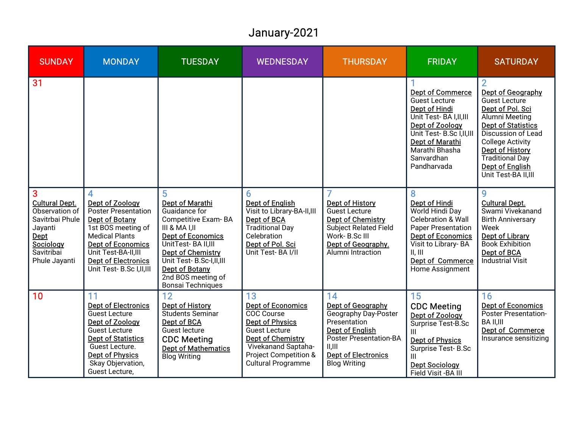# January-2021

| <b>SUNDAY</b>                                                                                                                               | <b>MONDAY</b>                                                                                                                                                                                                              | <b>TUESDAY</b>                                                                                                                                                                                                                                              | <b>WEDNESDAY</b>                                                                                                                                                                                        | <b>THURSDAY</b>                                                                                                                                                                                                     | <b>FRIDAY</b>                                                                                                                                                                                                | <b>SATURDAY</b>                                                                                                                                                                                                                                                     |
|---------------------------------------------------------------------------------------------------------------------------------------------|----------------------------------------------------------------------------------------------------------------------------------------------------------------------------------------------------------------------------|-------------------------------------------------------------------------------------------------------------------------------------------------------------------------------------------------------------------------------------------------------------|---------------------------------------------------------------------------------------------------------------------------------------------------------------------------------------------------------|---------------------------------------------------------------------------------------------------------------------------------------------------------------------------------------------------------------------|--------------------------------------------------------------------------------------------------------------------------------------------------------------------------------------------------------------|---------------------------------------------------------------------------------------------------------------------------------------------------------------------------------------------------------------------------------------------------------------------|
| 31                                                                                                                                          |                                                                                                                                                                                                                            |                                                                                                                                                                                                                                                             |                                                                                                                                                                                                         |                                                                                                                                                                                                                     | <b>Dept of Commerce</b><br>Guest Lecture<br><b>Dept of Hindi</b><br>Unit Test-BA I, II, III<br>Dept of Zoology<br>Unit Test- B.Sc I.II.III<br>Dept of Marathi<br>Marathi Bhasha<br>Sanvardhan<br>Pandharvada | Dept of Geography<br>Guest Lecture<br>Dept of Pol. Sci<br>Alumni Meeting<br><b>Dept of Statistics</b><br><b>Discussion of Lead</b><br><b>College Activity</b><br><b>Dept of History</b><br><b>Traditional Day</b><br><b>Dept of English</b><br>Unit Test-BA II, III |
| $\overline{3}$<br><b>Cultural Dept.</b><br>Observation of<br>Savitrbai Phule<br>Jayanti<br>Dept<br>Sociology<br>Savitribai<br>Phule Jayanti | Dept of Zoology<br><b>Poster Presentation</b><br>Dept of Botany<br>1st BOS meeting of<br><b>Medical Plants</b><br><b>Dept of Economics</b><br>Unit Test-BA-II,III<br><b>Dept of Electronics</b><br>Unit Test-B.Sc I,II,III | 5<br><b>Dept of Marathi</b><br>Guaidance for<br>Competitive Exam-BA<br>III & MA I,II<br><b>Dept of Economics</b><br>UnitTest-BA II,III<br><b>Dept of Chemistry</b><br>Unit Test- B.Sc-I,II,III<br>Dept of Botany<br>2nd BOS meeting of<br>Bonsai Techniques | 6<br>Dept of English<br>Visit to Library-BA-II,III<br>Dept of BCA<br><b>Traditional Day</b><br>Celebration<br>Dept of Pol. Sci<br>Unit Test-BA I/II                                                     | Dept of History<br><b>Guest Lecture</b><br>Dept of Chemistry<br><b>Subject Related Field</b><br>Work- B.Sc III<br>Dept of Geography.<br>Alumni Intraction                                                           | g<br>Dept of Hindi<br>World Hindi Day<br><b>Celebration &amp; Wall</b><br><b>Paper Presentation</b><br><b>Dept of Economics</b><br>Visit to Library-BA<br>II, III<br>Dept of Commerce<br>Home Assignment     | 9<br><b>Cultural Dept.</b><br>Swami Vivekanand<br><b>Birth Anniversary</b><br>Week<br>Dept of Library<br><b>Book Exhibition</b><br>Dept of BCA<br><b>Industrial Visit</b>                                                                                           |
| $\overline{10}$                                                                                                                             | 11<br><b>Dept of Electronics</b><br><b>Guest Lecture</b><br>Dept of Zoology<br><b>Guest Lecture</b><br><b>Dept of Statistics</b><br>Guest Lecture.<br><b>Dept of Physics</b><br>Skay Objervation,<br>Guest Lecture,        | 12<br>Dept of History<br>Students Seminar<br>Dept of BCA<br>Guest lecture<br><b>CDC Meeting</b><br>Dept of Mathematics<br><b>Blog Writing</b>                                                                                                               | 13<br><b>Dept of Economics</b><br><b>COC Course</b><br><b>Dept of Physics</b><br><b>Guest Lecture</b><br>Dept of Chemistry<br>Vivekanand Saptaha-<br>Project Competition &<br><b>Cultural Programme</b> | 14<br>Dept of Geography<br><b>Geography Day-Poster</b><br>Presentation<br><b>Dept of English</b><br><b>Poster Presentation-BA</b><br>$\parallel$ , $\parallel$<br><b>Dept of Electronics</b><br><b>Blog Writing</b> | 15<br><b>CDC Meeting</b><br>Dept of Zoology<br>Surprise Test-B.Sc<br>Ш<br><b>Dept of Physics</b><br>Surprise Test-B.Sc<br>Ш<br><b>Dept Sociology</b><br>Field Visit - BA III                                 | 16<br><b>Dept of Economics</b><br><b>Poster Presentation-</b><br>BA II,III<br>Dept of Commerce<br>Insurance sensitizing                                                                                                                                             |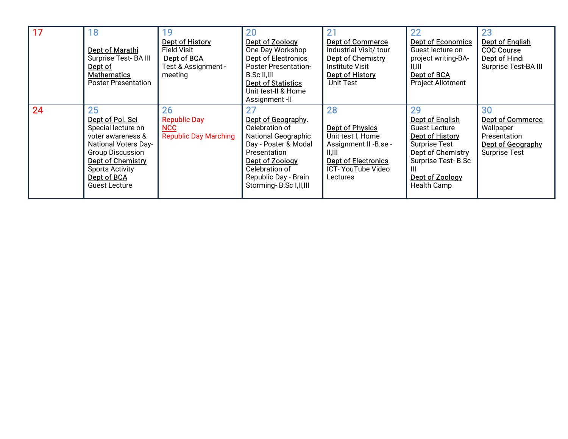| 17 | 18<br>Dept of Marathi<br>Surprise Test-BA III<br>Dept of<br><b>Mathematics</b><br><b>Poster Presentation</b>                                                                                                      | Dept of History<br><b>Field Visit</b><br>Dept of BCA<br>Test & Assignment -<br>meeting | 20<br>Dept of Zoology<br>One Day Workshop<br><b>Dept of Electronics</b><br><b>Poster Presentation-</b><br>B.Sc II,III<br><b>Dept of Statistics</b><br>Unit test-II & Home<br>Assignment -II               | 21<br><b>Dept of Commerce</b><br>Industrial Visit/ tour<br>Dept of Chemistry<br><b>Institute Visit</b><br>Dept of History<br>Unit Test               | 22<br><b>Dept of Economics</b><br>Guest lecture on<br>project writing-BA-<br>11,111<br>Dept of BCA<br><b>Project Allotment</b>                                             | 23<br><b>Dept of English</b><br><b>COC Course</b><br>Dept of Hindi<br>Surprise Test-BA III              |
|----|-------------------------------------------------------------------------------------------------------------------------------------------------------------------------------------------------------------------|----------------------------------------------------------------------------------------|-----------------------------------------------------------------------------------------------------------------------------------------------------------------------------------------------------------|------------------------------------------------------------------------------------------------------------------------------------------------------|----------------------------------------------------------------------------------------------------------------------------------------------------------------------------|---------------------------------------------------------------------------------------------------------|
| 24 | 25<br>Dept of Pol. Sci<br>Special lecture on<br>voter awareness &<br><b>National Voters Day-</b><br><b>Group Discussion</b><br>Dept of Chemistry<br><b>Sports Activity</b><br>Dept of BCA<br><b>Guest Lecture</b> | 26<br><b>Republic Day</b><br>NCC<br><b>Republic Day Marching</b>                       | 27<br>Dept of Geography.<br>Celebration of<br><b>National Geographic</b><br>Day - Poster & Modal<br>Presentation<br>Dept of Zoology<br>Celebration of<br>Republic Day - Brain<br>Storming-B.Sc I, II, III | 28<br><b>Dept of Physics</b><br>Unit test I, Home<br>Assignment II - B.se -<br>  ,   <br><b>Dept of Electronics</b><br>ICT-YouTube Video<br>Lectures | 29<br><b>Dept of English</b><br>Guest Lecture<br>Dept of History<br>Surprise Test<br>Dept of Chemistry<br>Surprise Test-B.Sc<br>Ш<br>Dept of Zoology<br><b>Health Camp</b> | 30<br><b>Dept of Commerce</b><br>Wallpaper<br>Presentation<br>Dept of Geography<br><b>Surprise Test</b> |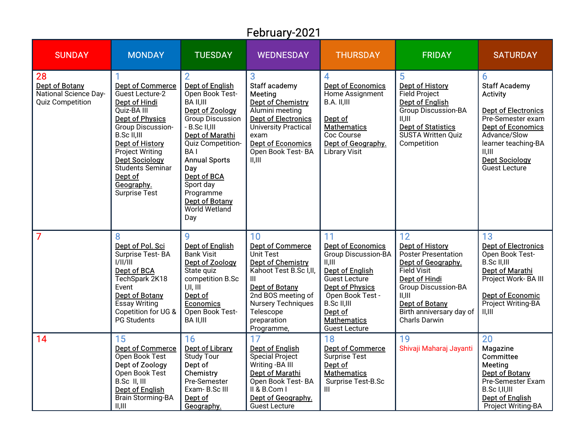## February-2021

| <b>SUNDAY</b>                                                            | <b>MONDAY</b>                                                                                                                                                                                                                                                                                     | <b>TUESDAY</b>                                                                                                                                                                                                                                                                                                         | <b>WEDNESDAY</b>                                                                                                                                                                                                      | <b>THURSDAY</b>                                                                                                                                                                                                                         | <b>FRIDAY</b>                                                                                                                                                                                                                   | <b>SATURDAY</b>                                                                                                                                                                                                                |
|--------------------------------------------------------------------------|---------------------------------------------------------------------------------------------------------------------------------------------------------------------------------------------------------------------------------------------------------------------------------------------------|------------------------------------------------------------------------------------------------------------------------------------------------------------------------------------------------------------------------------------------------------------------------------------------------------------------------|-----------------------------------------------------------------------------------------------------------------------------------------------------------------------------------------------------------------------|-----------------------------------------------------------------------------------------------------------------------------------------------------------------------------------------------------------------------------------------|---------------------------------------------------------------------------------------------------------------------------------------------------------------------------------------------------------------------------------|--------------------------------------------------------------------------------------------------------------------------------------------------------------------------------------------------------------------------------|
| 28<br>Dept of Botany<br>National Science Day-<br><b>Quiz Competition</b> | <b>Dept of Commerce</b><br>Guest Lecture-2<br>Dept of Hindi<br>Quiz-BA III<br><b>Dept of Physics</b><br><b>Group Discussion-</b><br>B.Sc II,III<br><b>Dept of History</b><br><b>Project Writing</b><br><b>Dept Sociology</b><br>Students Seminar<br>Dept of<br>Geography.<br><b>Surprise Test</b> | $\overline{2}$<br><b>Dept of English</b><br>Open Book Test-<br><b>BA II,III</b><br>Dept of Zoology<br>Group Discussion<br>- B.Sc II,III<br><b>Dept of Marathi</b><br>Quiz Competition-<br><b>BAI</b><br><b>Annual Sports</b><br>Day<br>Dept of BCA<br>Sport day<br>Programme<br>Dept of Botany<br>World Wetland<br>Day | 3<br>Staff academy<br>Meeting<br><b>Dept of Chemistry</b><br>Alumini meeting<br><b>Dept of Electronics</b><br><b>University Practical</b><br>exam<br><b>Dept of Economics</b><br>Open Book Test-BA<br>  ,             | $\overline{A}$<br><b>Dept of Economics</b><br>Home Assignment<br>B.A. II,III<br>Dept of<br><b>Mathematics</b><br>Coc Course<br>Dept of Geography.<br><b>Library Visit</b>                                                               | 5<br><b>Dept of History</b><br><b>Field Project</b><br><b>Dept of English</b><br><b>Group Discussion-BA</b><br>II, III<br><b>Dept of Statistics</b><br>SUSTA Written Quiz<br>Competition                                        | 6<br><b>Staff Academy</b><br><b>Activity</b><br><b>Dept of Electronics</b><br>Pre-Semester exam<br><b>Dept of Economics</b><br>Advance/Slow<br>learner teaching-BA<br>II, III<br><b>Dept Sociology</b><br><b>Guest Lecture</b> |
| $\overline{7}$                                                           | 8<br>Dept of Pol. Sci<br>Surprise Test-BA<br>1/11/111<br>Dept of BCA<br>TechSpark 2K18<br>Event<br><b>Dept of Botany</b><br><b>Essay Writing</b><br>Copetition for UG &<br>PG Students                                                                                                            | 9<br><b>Dept of English</b><br><b>Bank Visit</b><br>Dept of Zoology<br>State quiz<br>competition B.Sc<br>I,II,III<br>Dept of<br><b>Economics</b><br>Open Book Test-<br><b>BA II,III</b>                                                                                                                                | 10<br><b>Dept of Commerce</b><br>Unit Test<br><b>Dept of Chemistry</b><br>Kahoot Test B.Sc I, II,<br>Ш<br>Dept of Botany<br>2nd BOS meeting of<br><b>Nursery Techniques</b><br>Telescope<br>preparation<br>Programme, | 11<br><b>Dept of Economics</b><br><b>Group Discussion-BA</b><br>II.III<br><b>Dept of English</b><br>Guest Lecture<br><b>Dept of Physics</b><br>Open Book Test -<br>B.Sc II,III<br>Dept of<br><b>Mathematics</b><br><b>Guest Lecture</b> | 12<br><b>Dept of History</b><br><b>Poster Presentation</b><br>Dept of Geography.<br><b>Field Visit</b><br>Dept of Hindi<br><b>Group Discussion-BA</b><br>II, III<br>Dept of Botany<br>Birth anniversary day of<br>Charls Darwin | 13<br><b>Dept of Electronics</b><br>Open Book Test-<br>B.Sc II,III<br>Dept of Marathi<br>Project Work- BA III<br><b>Dept of Economic</b><br>Project Writing-BA<br>II, III                                                      |
| 14                                                                       | 15<br><b>Dept of Commerce</b><br>Open Book Test<br>Dept of Zoology<br>Open Book Test<br>B.Sc II, III<br><b>Dept of English</b><br><b>Brain Storming-BA</b><br>II, III                                                                                                                             | 16<br>Dept of Library<br><b>Study Tour</b><br>Dept of<br>Chemistry<br>Pre-Semester<br>Exam-B.Sc III<br>Dept of<br>Geography.                                                                                                                                                                                           | 17<br>Dept of English<br>Special Project<br>Writing - BA III<br>Dept of Marathi<br>Open Book Test-BA<br>II & B.Com I<br>Dept of Geography.<br><b>Guest Lecture</b>                                                    | 18<br><b>Dept of Commerce</b><br><b>Surprise Test</b><br>Dept of<br><b>Mathematics</b><br>Surprise Test-B.Sc<br>Ш                                                                                                                       | 19<br>Shivaji Maharaj Jayanti                                                                                                                                                                                                   | 20<br><b>Magazine</b><br>Committee<br>Meeting<br>Dept of Botany<br>Pre-Semester Exam<br>B.Sc I,II,III<br><b>Dept of English</b><br>Project Writing-BA                                                                          |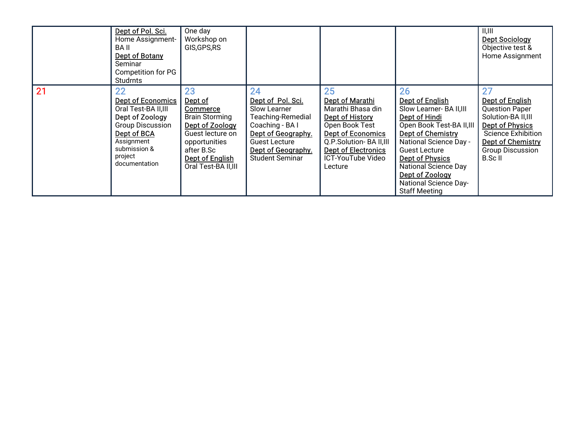|          | Dept of Pol. Sci.<br>Home Assignment-<br>BA II<br>Dept of Botany<br>Seminar<br>Competition for PG<br>Studrnts                                                          | One day<br>Workshop on<br>GIS, GPS, RS                                                                                                                                     |                                                                                                                                                                                      |                                                                                                                                                                                                     |                                                                                                                                                                                                                                                                                              | II, III<br><b>Dept Sociology</b><br>Objective test &<br>Home Assignment                                                                                                           |
|----------|------------------------------------------------------------------------------------------------------------------------------------------------------------------------|----------------------------------------------------------------------------------------------------------------------------------------------------------------------------|--------------------------------------------------------------------------------------------------------------------------------------------------------------------------------------|-----------------------------------------------------------------------------------------------------------------------------------------------------------------------------------------------------|----------------------------------------------------------------------------------------------------------------------------------------------------------------------------------------------------------------------------------------------------------------------------------------------|-----------------------------------------------------------------------------------------------------------------------------------------------------------------------------------|
| 21<br>22 | <b>Dept of Economics</b><br>Oral Test-BA II,III<br>Dept of Zoology<br><b>Group Discussion</b><br>Dept of BCA<br>Assignment<br>submission &<br>project<br>documentation | 23<br>Dept of<br><b>Commerce</b><br><b>Brain Storming</b><br>Dept of Zoology<br>Guest lecture on<br>opportunities<br>after B.Sc<br>Dept of English<br>Oral Test-BA II, III | 24<br>Dept of Pol. Sci.<br>Slow Learner<br><b>Teaching-Remedial</b><br>Coaching - BA I<br>Dept of Geography.<br><b>Guest Lecture</b><br>Dept of Geography.<br><b>Student Seminar</b> | 25<br>Dept of Marathi<br>Marathi Bhasa din<br>Dept of History<br>Open Book Test<br><b>Dept of Economics</b><br>Q.P.Solution-BA II,III<br><b>Dept of Electronics</b><br>ICT-YouTube Video<br>Lecture | 26<br>Dept of English<br>Slow Learner- BA II, III<br>Dept of Hindi<br>Open Book Test-BA II, III<br>Dept of Chemistry<br>National Science Day -<br>Guest Lecture<br><b>Dept of Physics</b><br>National Science Day<br>Dept of Zoology<br><b>National Science Day-</b><br><b>Staff Meeting</b> | Dept of English<br><b>Question Paper</b><br>Solution-BA II, III<br>Dept of Physics<br><b>Science Exhibition</b><br><b>Dept of Chemistry</b><br><b>Group Discussion</b><br>B.Sc II |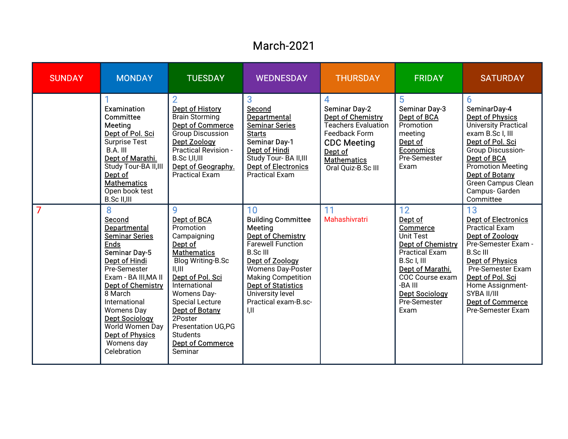#### March-2021

| <b>SUNDAY</b> | <b>MONDAY</b>                                                                                                                                                                                                                                                                                                                        | <b>TUESDAY</b>                                                                                                                                                                                                                                                                                                       | <b>WEDNESDAY</b>                                                                                                                                                                                                                                                             | <b>THURSDAY</b>                                                                                                                                                            | <b>FRIDAY</b>                                                                                                                                                                                                 | <b>SATURDAY</b>                                                                                                                                                                                                                                                              |
|---------------|--------------------------------------------------------------------------------------------------------------------------------------------------------------------------------------------------------------------------------------------------------------------------------------------------------------------------------------|----------------------------------------------------------------------------------------------------------------------------------------------------------------------------------------------------------------------------------------------------------------------------------------------------------------------|------------------------------------------------------------------------------------------------------------------------------------------------------------------------------------------------------------------------------------------------------------------------------|----------------------------------------------------------------------------------------------------------------------------------------------------------------------------|---------------------------------------------------------------------------------------------------------------------------------------------------------------------------------------------------------------|------------------------------------------------------------------------------------------------------------------------------------------------------------------------------------------------------------------------------------------------------------------------------|
|               | Examination<br>Committee<br>Meeting<br>Dept of Pol. Sci<br><b>Surprise Test</b><br>$B.A.$ $III.$<br>Dept of Marathi.<br>Study Tour-BA II, III<br>Dept of<br><b>Mathematics</b><br>Open book test<br>B.Sc II,III                                                                                                                      | $\overline{2}$<br><b>Dept of History</b><br><b>Brain Storming</b><br><b>Dept of Commerce</b><br><b>Group Discussion</b><br>Dept Zoology<br>Practical Revision -<br>B.Sc I,II,III<br>Dept of Geography.<br><b>Practical Exam</b>                                                                                      | 3<br>Second<br>Departmental<br><b>Seminar Series</b><br><b>Starts</b><br><b>Seminar Day-1</b><br>Dept of Hindi<br>Study Tour- BA II, III<br><b>Dept of Electronics</b><br><b>Practical Exam</b>                                                                              | 4<br><b>Seminar Day-2</b><br>Dept of Chemistry<br><b>Teachers Evaluation</b><br>Feedback Form<br><b>CDC Meeting</b><br>Dept of<br><b>Mathematics</b><br>Oral Quiz-B.Sc III | 5<br><b>Seminar Day-3</b><br>Dept of BCA<br>Promotion<br>meeting<br>Dept of<br><b>Economics</b><br>Pre-Semester<br>Exam                                                                                       | 6<br>SeminarDay-4<br><b>Dept of Physics</b><br><b>University Practical</b><br>exam B.Sc I, III<br>Dept of Pol. Sci<br><b>Group Discussion-</b><br>Dept of BCA<br><b>Promotion Meeting</b><br>Dept of Botany<br>Green Campus Clean<br>Campus- Garden<br>Committee             |
| 7             | 8<br>Second<br>Departmental<br><b>Seminar Series</b><br><b>Ends</b><br>Seminar Day-5<br><b>Dept of Hindi</b><br>Pre-Semester<br>Exam - BA III, MA II<br><b>Dept of Chemistry</b><br>8 March<br>International<br><b>Womens Day</b><br><b>Dept Sociology</b><br>World Women Day<br><b>Dept of Physics</b><br>Womens day<br>Celebration | Q<br>Dept of BCA<br>Promotion<br>Campaigning<br>Dept of<br><b>Mathematics</b><br><b>Blog Writing-B.Sc</b><br>  ,   <br>Dept of Pol. Sci<br>International<br>Womens Day-<br><b>Special Lecture</b><br>Dept of Botany<br>2Poster<br><b>Presentation UG,PG</b><br><b>Students</b><br><b>Dept of Commerce</b><br>Seminar | 10<br><b>Building Committee</b><br>Meeting<br>Dept of Chemistry<br><b>Farewell Function</b><br><b>B.Sc III</b><br>Dept of Zoology<br>Womens Day-Poster<br><b>Making Competition</b><br><b>Dept of Statistics</b><br>University level<br>Practical exam-B.sc-<br>$\mathbf{L}$ | 11<br>Mahashivratri                                                                                                                                                        | 12<br>Dept of<br>Commerce<br>Unit Test<br><b>Dept of Chemistry</b><br><b>Practical Exam</b><br>B.Sc I, III<br>Dept of Marathi.<br>COC Course exam<br>-BA III<br><b>Dept Sociology</b><br>Pre-Semester<br>Exam | 13<br><b>Dept of Electronics</b><br><b>Practical Exam</b><br>Dept of Zoology<br>Pre-Semester Exam -<br><b>B.Sc III</b><br><b>Dept of Physics</b><br>Pre-Semester Exam<br>Dept of Pol. Sci<br>Home Assignment-<br>SYBA II/III<br><b>Dept of Commerce</b><br>Pre-Semester Exam |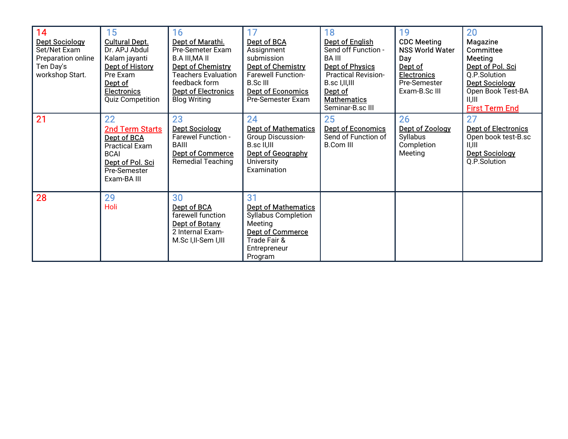| 14<br><b>Dept Sociology</b><br>Set/Net Exam<br>Preparation online<br>Ten Day's<br>workshop Start.<br>21 | 15<br><b>Cultural Dept.</b><br>Dr. APJ Abdul<br>Kalam jayanti<br>Dept of History<br>Pre Exam<br>Dept of<br><b>Electronics</b><br><b>Quiz Competition</b><br>22<br>2nd Term Starts | 16<br>Dept of Marathi.<br>Pre-Semeter Exam<br><b>B.A III, MA II</b><br>Dept of Chemistry<br><b>Teachers Evaluation</b><br>feedback form<br><b>Dept of Electronics</b><br><b>Blog Writing</b><br>23<br><b>Dept Sociology</b> | 17<br>Dept of BCA<br>Assignment<br>submission<br>Dept of Chemistry<br><b>Farewell Function-</b><br><b>B.Sc III</b><br><b>Dept of Economics</b><br>Pre-Semester Exam<br>24<br><b>Dept of Mathematics</b> | 18<br><b>Dept of English</b><br>Send off Function -<br>BA III<br>Dept of Physics<br><b>Practical Revision-</b><br>B.sc I,II,III<br>Dept of<br><b>Mathematics</b><br>Seminar-B.sc III<br>25<br><b>Dept of Economics</b> | 19<br><b>CDC Meeting</b><br><b>NSS World Water</b><br>Day<br>Dept of<br><b>Electronics</b><br>Pre-Semester<br>Exam-B.Sc III<br>26<br>Dept of Zoology | 20<br><b>Magazine</b><br><b>Committee</b><br>Meeting<br>Dept of Pol. Sci<br>Q.P.Solution<br><b>Dept Sociology</b><br>Open Book Test-BA<br>II,III<br><b>First Term End</b><br>27<br><b>Dept of Electronics</b> |
|---------------------------------------------------------------------------------------------------------|-----------------------------------------------------------------------------------------------------------------------------------------------------------------------------------|-----------------------------------------------------------------------------------------------------------------------------------------------------------------------------------------------------------------------------|---------------------------------------------------------------------------------------------------------------------------------------------------------------------------------------------------------|------------------------------------------------------------------------------------------------------------------------------------------------------------------------------------------------------------------------|------------------------------------------------------------------------------------------------------------------------------------------------------|---------------------------------------------------------------------------------------------------------------------------------------------------------------------------------------------------------------|
|                                                                                                         | Dept of BCA<br><b>Practical Exam</b><br><b>BCAI</b><br>Dept of Pol. Sci<br>Pre-Semester<br>Exam-BA III                                                                            | <b>Farewel Function -</b><br>BAIII<br><b>Dept of Commerce</b><br><b>Remedial Teaching</b>                                                                                                                                   | Group Discussion-<br>B.sc II,III<br>Dept of Geography<br>University<br>Examination                                                                                                                      | Send of Function of<br><b>B.Com III</b>                                                                                                                                                                                | Syllabus<br>Completion<br>Meeting                                                                                                                    | Open book test-B.sc<br>II.III<br><b>Dept Sociology</b><br>Q.P.Solution                                                                                                                                        |
| 28                                                                                                      | 29<br>Holi                                                                                                                                                                        | 30<br>Dept of BCA<br>farewell function<br>Dept of Botany<br>2 Internal Exam-<br>M.Sc I, II-Sem I, III                                                                                                                       | 31<br><b>Dept of Mathematics</b><br><b>Syllabus Completion</b><br>Meeting<br><b>Dept of Commerce</b><br>Trade Fair &<br>Entrepreneur<br>Program                                                         |                                                                                                                                                                                                                        |                                                                                                                                                      |                                                                                                                                                                                                               |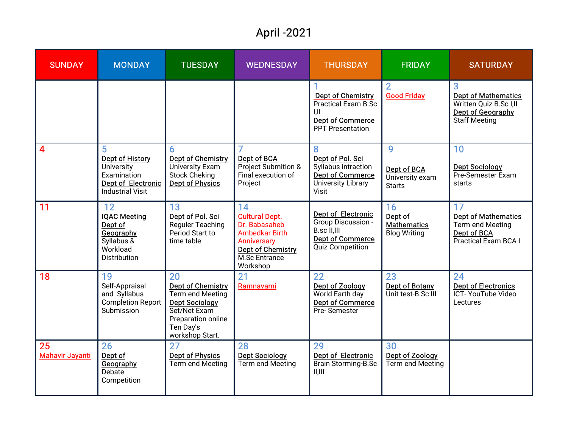## April-2021

| <b>SUNDAY</b>                             | <b>MONDAY</b>                                                                                      | <b>TUESDAY</b>                                                                                                                                    | <b>WEDNESDAY</b>                                                                                                                              | <b>THURSDAY</b>                                                                                               | <b>FRIDAY</b>                                              | <b>SATURDAY</b>                                                                                 |
|-------------------------------------------|----------------------------------------------------------------------------------------------------|---------------------------------------------------------------------------------------------------------------------------------------------------|-----------------------------------------------------------------------------------------------------------------------------------------------|---------------------------------------------------------------------------------------------------------------|------------------------------------------------------------|-------------------------------------------------------------------------------------------------|
|                                           |                                                                                                    |                                                                                                                                                   |                                                                                                                                               | <b>Dept of Chemistry</b><br><b>Practical Exam B.Sc</b><br><b>Dept of Commerce</b><br><b>PPT</b> Presentation  | $\overline{2}$<br><b>Good Friday</b>                       | 3<br><b>Dept of Mathematics</b><br>Written Quiz B.Sc I,II<br>Dept of Geography<br>Staff Meeting |
| $\vert$ 4                                 | 5<br>Dept of History<br>University<br>Examination<br>Dept of Electronic<br><b>Industrial Visit</b> | 6.<br><b>Dept of Chemistry</b><br><b>University Exam</b><br><b>Stock Cheking</b><br>Dept of Physics                                               | Dept of BCA<br>Project Submition &<br>Final execution of<br>Project                                                                           | 8<br>Dept of Pol. Sci<br>Syllabus intraction<br><b>Dept of Commerce</b><br>University Library<br><b>Visit</b> | 9<br>Dept of BCA<br>University exam<br><b>Starts</b>       | 10<br><b>Dept Sociology</b><br>Pre-Semester Exam<br>starts                                      |
| $\overline{11}$                           | 12<br><b>IQAC Meeting</b><br>Dept of<br>Geography<br>Syllabus &<br>Workload<br>Distribution        | 13<br>Dept of Pol. Sci<br>Reguler Teaching<br>Period Start to<br>time table                                                                       | 14<br><b>Cultural Dept.</b><br>Dr. Babasaheb<br><b>Ambedkar Birth</b><br>Anniversary<br><b>Dept of Chemistry</b><br>M.Sc Entrance<br>Workshop | Dept of Electronic<br>Group Discussion -<br>B.sc II,III<br><b>Dept of Commerce</b><br><b>Quiz Competition</b> | 16<br>Dept of<br><b>Mathematics</b><br><b>Blog Writing</b> | 17<br><b>Dept of Mathematics</b><br>Term end Meeting<br>Dept of BCA<br>Practical Exam BCA I     |
| <b>18</b>                                 | 19<br>Self-Appraisal<br>and Syllabus<br><b>Completion Report</b><br>Submission                     | 20<br><b>Dept of Chemistry</b><br>Term end Meeting<br><b>Dept Sociology</b><br>Set/Net Exam<br>Preparation online<br>Ten Day's<br>workshop Start. | 21<br>Ramnavami                                                                                                                               | 22<br>Dept of Zoology<br>World Earth day<br><b>Dept of Commerce</b><br>Pre-Semester                           | 23<br><b>Dept of Botany</b><br>Unit test-B.Sc III          | 24<br><b>Dept of Electronics</b><br>ICT- YouTube Video<br>Lectures                              |
| $\overline{25}$<br><b>Mahavir Jayanti</b> | 26<br>Dept of<br>Geography<br>Debate<br>Competition                                                | 27<br><b>Dept of Physics</b><br>Term end Meeting                                                                                                  | 28<br><b>Dept Sociology</b><br>Term end Meeting                                                                                               | 29<br>Dept of Electronic<br>Brain Storming-B.Sc<br>II, III                                                    | 30<br>Dept of Zoology<br>Term end Meeting                  |                                                                                                 |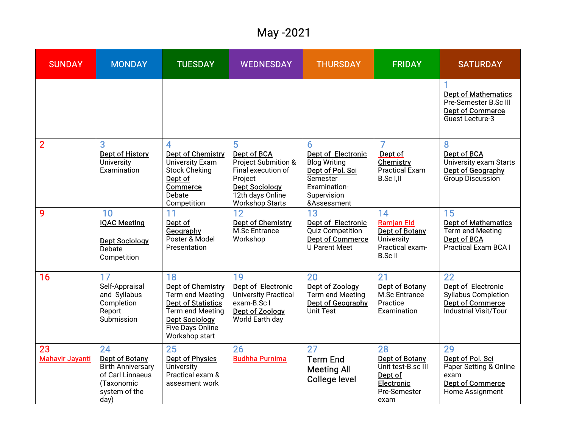## May-2021

| <b>SUNDAY</b>                | <b>MONDAY</b>                                                                                                      | <b>TUESDAY</b>                                                                                                                                              | <b>WEDNESDAY</b>                                                                                                                                | <b>THURSDAY</b>                                                                                                              | <b>FRIDAY</b>                                                                               | <b>SATURDAY</b>                                                                                            |
|------------------------------|--------------------------------------------------------------------------------------------------------------------|-------------------------------------------------------------------------------------------------------------------------------------------------------------|-------------------------------------------------------------------------------------------------------------------------------------------------|------------------------------------------------------------------------------------------------------------------------------|---------------------------------------------------------------------------------------------|------------------------------------------------------------------------------------------------------------|
|                              |                                                                                                                    |                                                                                                                                                             |                                                                                                                                                 |                                                                                                                              |                                                                                             | <b>Dept of Mathematics</b><br>Pre-Semester B.Sc III<br><b>Dept of Commerce</b><br>Guest Lecture-3          |
| $\overline{2}$               | 3<br><b>Dept of History</b><br>University<br>Examination                                                           | 4<br>Dept of Chemistry<br>University Exam<br><b>Stock Cheking</b><br>Dept of<br>Commerce<br>Debate<br>Competition                                           | 5<br>Dept of BCA<br>Project Submition &<br>Final execution of<br>Project<br><b>Dept Sociology</b><br>12th days Online<br><b>Workshop Starts</b> | 6<br>Dept of Electronic<br><b>Blog Writing</b><br>Dept of Pol. Sci<br>Semester<br>Examination-<br>Supervision<br>&Assessment | 7<br>Dept of<br><b>Chemistry</b><br><b>Practical Exam</b><br>B.Sc I,II                      | 8<br>Dept of BCA<br>University exam Starts<br>Dept of Geography<br><b>Group Discussion</b>                 |
| 9                            | 10<br><b>IQAC Meeting</b><br><b>Dept Sociology</b><br>Debate<br>Competition                                        | 11<br>Dept of<br>Geography<br>Poster & Model<br>Presentation                                                                                                | 12<br><b>Dept of Chemistry</b><br>M.Sc Entrance<br>Workshop                                                                                     | 13<br><b>Dept of Electronic</b><br><b>Quiz Competition</b><br><b>Dept of Commerce</b><br><b>U Parent Meet</b>                | 14<br><b>Ramjan Eld</b><br>Dept of Botany<br>University<br>Practical exam-<br><b>B.ScII</b> | 15<br><b>Dept of Mathematics</b><br>Term end Meeting<br>Dept of BCA<br><b>Practical Exam BCA I</b>         |
| 16                           | 17<br>Self-Appraisal<br>and Syllabus<br>Completion<br>Report<br>Submission                                         | 18<br>Dept of Chemistry<br>Term end Meeting<br><b>Dept of Statistics</b><br>Term end Meeting<br><b>Dept Sociology</b><br>Five Days Online<br>Workshop start | 19<br>Dept of Electronic<br>University Practical<br>exam-B.Sc I<br>Dept of Zoology<br>World Earth day                                           | 20<br>Dept of Zoology<br>Term end Meeting<br>Dept of Geography<br>Unit Test                                                  | 21<br>Dept of Botany<br>M.Sc Entrance<br>Practice<br>Examination                            | 22<br>Dept of Electronic<br>Syllabus Completion<br><b>Dept of Commerce</b><br><b>Industrial Visit/Tour</b> |
| 23<br><b>Mahavir Jayanti</b> | 24<br><b>Dept of Botany</b><br><b>Birth Anniversary</b><br>of Carl Linnaeus<br>(Taxonomic<br>system of the<br>day) | 25<br><b>Dept of Physics</b><br>University<br>Practical exam &<br>assesment work                                                                            | 26<br><b>Budhha Purnima</b>                                                                                                                     | 27<br><b>Term End</b><br><b>Meeting All</b><br><b>College level</b>                                                          | 28<br>Dept of Botany<br>Unit test-B.sc III<br>Dept of<br>Electronic<br>Pre-Semester<br>exam | 29<br>Dept of Pol. Sci<br>Paper Setting & Online<br>exam<br><b>Dept of Commerce</b><br>Home Assignment     |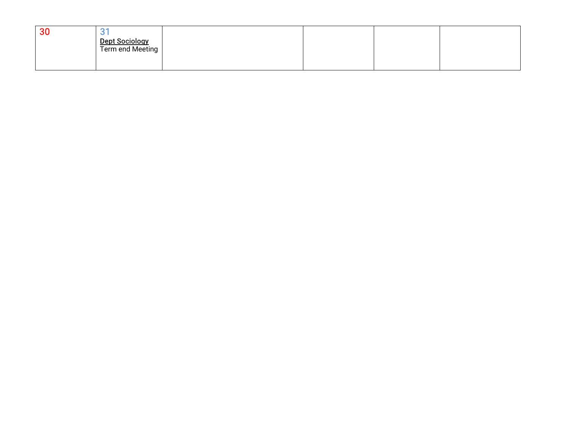| 30 |                                    |  |  |  |
|----|------------------------------------|--|--|--|
|    | Dept Sociology<br>Term end Meeting |  |  |  |
|    |                                    |  |  |  |
|    |                                    |  |  |  |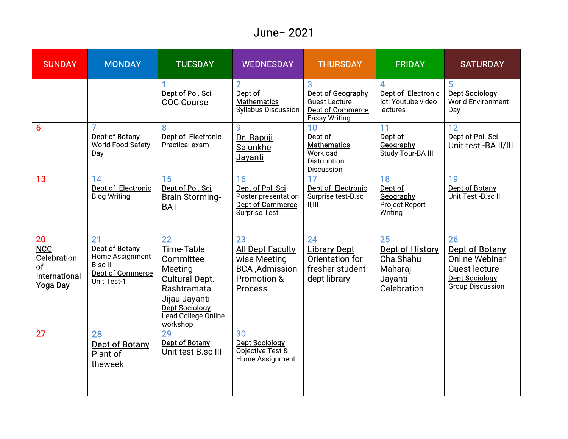#### June- 2021

| <b>SUNDAY</b>                                                             | <b>MONDAY</b>                                                                                               | <b>TUESDAY</b>                                                                                                                                                             | <b>WEDNESDAY</b>                                                                                  | <b>THURSDAY</b>                                                                       | <b>FRIDAY</b>                                                                        | <b>SATURDAY</b>                                                                                                           |
|---------------------------------------------------------------------------|-------------------------------------------------------------------------------------------------------------|----------------------------------------------------------------------------------------------------------------------------------------------------------------------------|---------------------------------------------------------------------------------------------------|---------------------------------------------------------------------------------------|--------------------------------------------------------------------------------------|---------------------------------------------------------------------------------------------------------------------------|
|                                                                           |                                                                                                             | Dept of Pol. Sci<br><b>COC Course</b>                                                                                                                                      | $\overline{2}$<br>Dept of<br><b>Mathematics</b><br><b>Syllabus Discussion</b>                     | Dept of Geography<br>Guest Lecture<br><b>Dept of Commerce</b><br><b>Eassy Writing</b> | <b>Dept of Electronic</b><br>Ict: Youtube video<br><b>lectures</b>                   | 5<br><b>Dept Sociology</b><br><b>World Environment</b><br>Day                                                             |
| 6                                                                         | <b>Dept of Botany</b><br>World Food Safety<br>Day                                                           | 8<br><b>Dept of Electronic</b><br>Practical exam                                                                                                                           | 9<br>Dr. Bapuji<br>Salunkhe<br>Jayanti                                                            | 10<br>Dept of<br><b>Mathematics</b><br>Workload<br>Distribution<br>Discussion         | 11<br>Dept of<br>Geography<br>Study Tour-BA III                                      | 12<br>Dept of Pol. Sci<br>Unit test -BA II/III                                                                            |
| 13                                                                        | 14<br>Dept of Electronic<br><b>Blog Writing</b>                                                             | 15<br>Dept of Pol. Sci<br><b>Brain Storming-</b><br><b>BAI</b>                                                                                                             | 16<br>Dept of Pol. Sci<br>Poster presentation<br>Dept of Commerce<br><b>Surprise Test</b>         | 17<br>Dept of Electronic<br>Surprise test-B.sc<br>II, III                             | 18<br>Dept of<br>Geography<br>Project Report<br>Writing                              | 19<br>Dept of Botany<br>Unit Test -B.sc II                                                                                |
| 20<br><b>NCC</b><br>Celebration<br>of<br>International<br><b>Yoga Day</b> | 21<br><b>Dept of Botany</b><br>Home Assignment<br><b>B.sc III</b><br><b>Dept of Commerce</b><br>Unit Test-1 | $\overline{22}$<br>Time-Table<br>Committee<br>Meeting<br><b>Cultural Dept.</b><br>Rashtramata<br>Jijau Jayanti<br><b>Dept Sociology</b><br>Lead College Online<br>workshop | 23<br><b>All Dept Faculty</b><br>wise Meeting<br>BCA , Admission<br>Promotion &<br><b>Process</b> | 24<br><b>Library Dept</b><br>Orientation for<br>fresher student<br>dept library       | $\overline{25}$<br>Dept of History<br>Cha.Shahu<br>Maharaj<br>Jayanti<br>Celebration | 26<br>Dept of Botany<br><b>Online Webinar</b><br><b>Guest lecture</b><br><b>Dept Sociology</b><br><b>Group Discussion</b> |
| $\overline{27}$                                                           | 28<br>Dept of Botany<br>Plant of<br>theweek                                                                 | 29<br><b>Dept of Botany</b><br>Unit test B.sc III                                                                                                                          | 30<br><b>Dept Sociology</b><br>Objective Test &<br>Home Assignment                                |                                                                                       |                                                                                      |                                                                                                                           |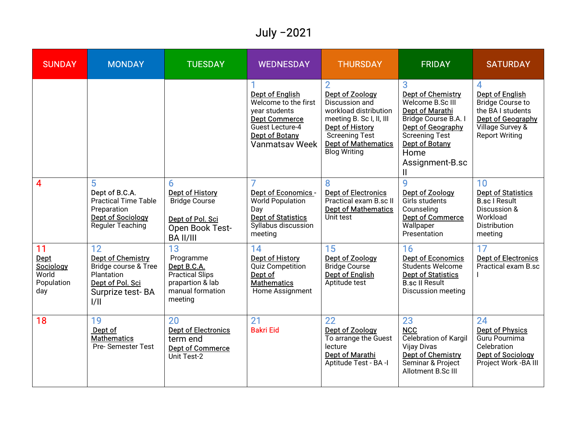## July -2021

| <b>SUNDAY</b>                                         | <b>MONDAY</b>                                                                                                        | <b>TUESDAY</b>                                                                                                 | <b>WEDNESDAY</b>                                                                                                                               | <b>THURSDAY</b>                                                                                                                                                                         | <b>FRIDAY</b>                                                                                                                                                                                   | <b>SATURDAY</b>                                                                                                                        |
|-------------------------------------------------------|----------------------------------------------------------------------------------------------------------------------|----------------------------------------------------------------------------------------------------------------|------------------------------------------------------------------------------------------------------------------------------------------------|-----------------------------------------------------------------------------------------------------------------------------------------------------------------------------------------|-------------------------------------------------------------------------------------------------------------------------------------------------------------------------------------------------|----------------------------------------------------------------------------------------------------------------------------------------|
|                                                       |                                                                                                                      |                                                                                                                | <b>Dept of English</b><br>Welcome to the first<br>year students<br><b>Dept Commerce</b><br>Guest Lecture-4<br>Dept of Botany<br>Vanmatsav Week | Dept of Zoology<br>Discussion and<br>workload distribution<br>meeting B. Sc I, II, III<br>Dept of History<br><b>Screening Test</b><br><b>Dept of Mathematics</b><br><b>Blog Writing</b> | <b>Dept of Chemistry</b><br>Welcome B.Sc III<br><b>Dept of Marathi</b><br>Bridge Course B.A. I<br>Dept of Geography<br><b>Screening Test</b><br>Dept of Botany<br>Home<br>Assignment-B.sc<br>Ш. | 4<br><b>Dept of English</b><br>Bridge Course to<br>the BA I students<br>Dept of Geography<br>Village Survey &<br><b>Report Writing</b> |
| $\overline{4}$                                        | 5<br>Dept of B.C.A.<br><b>Practical Time Table</b><br>Preparation<br><b>Dept of Sociology</b><br>Reguler Teaching    | 6<br><b>Dept of History</b><br><b>Bridge Course</b><br>Dept of Pol. Sci<br>Open Book Test-<br><b>BA II/III</b> | Dept of Economics -<br><b>World Population</b><br>Day<br><b>Dept of Statistics</b><br>Syllabus discussion<br>meeting                           | <b>Dept of Electronics</b><br>Practical exam B.sc II<br><b>Dept of Mathematics</b><br>Unit test                                                                                         | 9<br>Dept of Zoology<br>Girls students<br>Counseling<br><b>Dept of Commerce</b><br>Wallpaper<br>Presentation                                                                                    | 10<br><b>Dept of Statistics</b><br><b>B.sc I Result</b><br>Discussion &<br>Workload<br><b>Distribution</b><br>meeting                  |
| 11<br>Dept<br>Sociology<br>World<br>Population<br>day | 12<br><b>Dept of Chemistry</b><br>Bridge course & Tree<br>Plantation<br>Dept of Pol. Sci<br>Surprize test-BA<br>1/11 | 13<br>Programme<br>Dept B.C.A.<br><b>Practical Slips</b><br>prapartion & lab<br>manual formation<br>meeting    | $14$<br>Dept of History<br>Quiz Competition<br>Dept of<br><b>Mathematics</b><br>Home Assignment                                                | 15<br>Dept of Zoology<br><b>Bridge Course</b><br>Dept of English<br>Aptitude test                                                                                                       | 16<br><b>Dept of Economics</b><br>Students Welcome<br><b>Dept of Statistics</b><br><b>B.sc II Result</b><br><b>Discussion meeting</b>                                                           | 17<br><b>Dept of Electronics</b><br>Practical exam B.sc                                                                                |
| 18                                                    | 19<br>Dept of<br><b>Mathematics</b><br><b>Pre-Semester Test</b>                                                      | 20<br><b>Dept of Electronics</b><br>term end<br><b>Dept of Commerce</b><br>Unit Test-2                         | 21<br><b>Bakri Eid</b>                                                                                                                         | 22<br>Dept of Zoology<br>To arrange the Guest<br>lecture<br>Dept of Marathi<br>Aptitude Test - BA -I                                                                                    | 23<br><b>NCC</b><br><b>Celebration of Kargil</b><br>Vijay Divas<br><b>Dept of Chemistry</b><br>Seminar & Project<br>Allotment B.Sc III                                                          | 24<br><b>Dept of Physics</b><br>Guru Pournima<br>Celebration<br><b>Dept of Sociology</b><br>Project Work - BA III                      |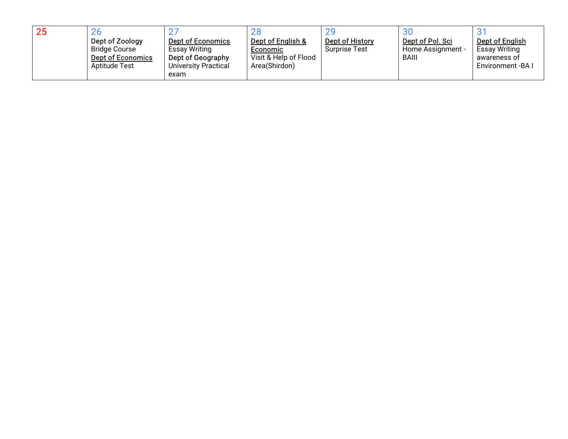| 25 | 20                       |                          | 28                    | 20                   | 30                |                      |
|----|--------------------------|--------------------------|-----------------------|----------------------|-------------------|----------------------|
|    | Dept of Zoology          | <b>Dept of Economics</b> | Dept of English &     | Dept of History      | Dept of Pol. Sci  | Dept of English      |
|    | <b>Bridge Course</b>     | <b>Essay Writing</b>     | Economic              | <b>Surprise Test</b> | Home Assignment - | <b>Essay Writing</b> |
|    | <b>Dept of Economics</b> | Dept of Geography        | Visit & Help of Flood |                      | <b>BAIII</b>      | awareness of         |
|    | <b>Aptitude Test</b>     | University Practical     | Area(Shirdon)         |                      |                   | Environment - BA I   |
|    |                          | exam                     |                       |                      |                   |                      |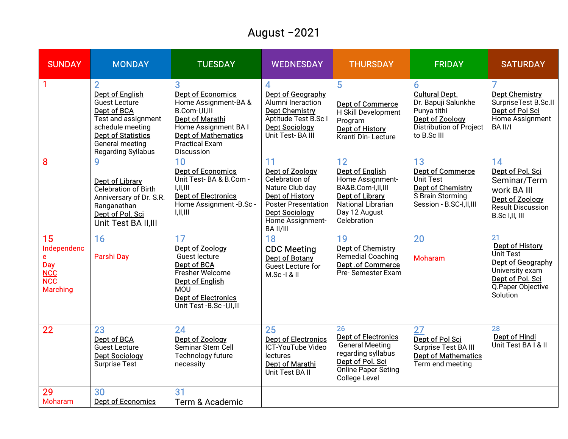## August-2021

| <b>SUNDAY</b>                                                                                              | <b>MONDAY</b>                                                                                                                                                                         | <b>TUESDAY</b>                                                                                                                                                                     | <b>WEDNESDAY</b>                                                                                                                                                             | <b>THURSDAY</b>                                                                                                                              | <b>FRIDAY</b>                                                                                                                 | <b>SATURDAY</b>                                                                                                                         |
|------------------------------------------------------------------------------------------------------------|---------------------------------------------------------------------------------------------------------------------------------------------------------------------------------------|------------------------------------------------------------------------------------------------------------------------------------------------------------------------------------|------------------------------------------------------------------------------------------------------------------------------------------------------------------------------|----------------------------------------------------------------------------------------------------------------------------------------------|-------------------------------------------------------------------------------------------------------------------------------|-----------------------------------------------------------------------------------------------------------------------------------------|
|                                                                                                            | <b>Dept of English</b><br><b>Guest Lecture</b><br>Dept of BCA<br>Test and assignment<br>schedule meeting<br><b>Dept of Statistics</b><br>General meeting<br><b>Regarding Syllabus</b> | Dept of Economics<br>Home Assignment-BA &<br>B.Com-I,II,III<br><b>Dept of Marathi</b><br>Home Assignment BA I<br><b>Dept of Mathematics</b><br><b>Practical Exam</b><br>Discussion | 4<br>Dept of Geography<br>Alumni Ineraction<br><b>Dept Chemistry</b><br>Aptitude Test B.Sc I<br><b>Dept Sociology</b><br>Unit Test-BA III                                    | 5<br><b>Dept of Commerce</b><br>H Skill Development<br>Program<br><b>Dept of History</b><br>Kranti Din-Lecture                               | 6<br><b>Cultural Dept.</b><br>Dr. Bapuji Salunkhe<br>Punya tithi<br>Dept of Zoology<br>Distribution of Project<br>to B.Sc III | <b>Dept Chemistry</b><br>SurpriseTest B.Sc.II<br>Dept of Pol Sci<br>Home Assignment<br>BA II/I                                          |
| 8                                                                                                          | 9<br>Dept of Library<br>Celebration of Birth<br>Anniversary of Dr. S.R.<br>Ranganathan<br>Dept of Pol. Sci<br>Unit Test BA II, III                                                    | 10<br><b>Dept of Economics</b><br>Unit Test-BA & B.Com -<br>I,II,III<br><b>Dept of Electronics</b><br>Home Assignment -B.Sc -<br>I,II,III                                          | 11<br>Dept of Zoology<br>Celebration of<br>Nature Club day<br><b>Dept of History</b><br><b>Poster Presentation</b><br><b>Dept Sociology</b><br>Home Assignment-<br>BA II/III | 12<br>Dept of English<br>Home Assignment-<br>BA&B.Com-I,II,III<br>Dept of Library<br>National Librarian<br>Day 12 August<br>Celebration      | 13<br><b>Dept of Commerce</b><br>Unit Test<br><b>Dept of Chemistry</b><br>S Brain Storming<br>Session - B.SC-I,II,III         | 14<br>Dept of Pol. Sci<br>Seminar/Term<br>work BA III<br>Dept of Zoology<br><b>Result Discussion</b><br>B.Sc I,II, III                  |
| 15<br>Independenc<br>$\mathbf e$<br><b>Day</b><br><b>NCC</b><br>$\overline{\text{NCC}}$<br><b>Marching</b> | 16<br><b>Parshi Day</b>                                                                                                                                                               | 17<br>Dept of Zoology<br>Guest lecture<br>Dept of BCA<br>Fresher Welcome<br><b>Dept of English</b><br><b>MOU</b><br><b>Dept of Electronics</b><br>Unit Test -B.Sc -I,II,III        | 18<br><b>CDC Meeting</b><br>Dept of Botany<br>Guest Lecture for<br>M.Sc-I & II                                                                                               | 19<br>Dept of Chemistry<br>Remedial Coaching<br>Dept.of Commerce<br>Pre-Semester Exam                                                        | 20<br><b>Moharam</b>                                                                                                          | 21<br><b>Dept of History</b><br>Unit Test<br>Dept of Geography<br>University exam<br>Dept of Pol. Sci<br>Q. Paper Objective<br>Solution |
| 22                                                                                                         | 23<br>Dept of BCA<br>Guest Lecture<br><b>Dept Sociology</b><br><b>Surprise Test</b>                                                                                                   | 24<br>Dept of Zoology<br>Seminar Stem Cell<br>Technology future<br>necessity                                                                                                       | 25<br><b>Dept of Electronics</b><br>ICT-YouTube Video<br>lectures<br>Dept of Marathi<br>Unit Test BA II                                                                      | 26<br><b>Dept of Electronics</b><br><b>General Meeting</b><br>regarding syllabus<br>Dept of Pol. Sci<br>Online Paper Seting<br>College Level | 27<br>Dept of Pol Sci<br>Surprise Test BA III<br><b>Dept of Mathematics</b><br>Term end meeting                               | 28<br>Dept of Hindi<br>Unit Test BA I & II                                                                                              |
| 29<br>Moharam                                                                                              | 30<br><b>Dept of Economics</b>                                                                                                                                                        | 31<br>Term & Academic                                                                                                                                                              |                                                                                                                                                                              |                                                                                                                                              |                                                                                                                               |                                                                                                                                         |